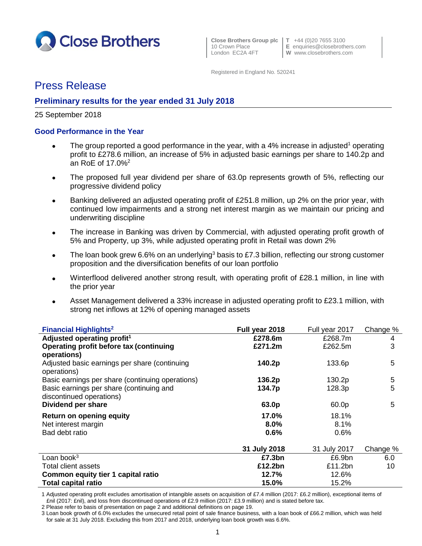

**Close Brothers Group plc T** +44 (0)20 7655 3100

10 Crown Place **E** enquiries@closebrothers.com<br>
London EC2A 4FT **W** www.closebrothers.com W www.closebrothers.com

Registered in England No. 520241

# Press Release

## **Preliminary results for the year ended 31 July 2018**

### 25 September 2018

## **Good Performance in the Year**

- The group reported a good performance in the year, with a 4% increase in adjusted<sup>1</sup> operating profit to £278.6 million, an increase of 5% in adjusted basic earnings per share to 140.2p and an RoE of 17.0%<sup>2</sup>
- The proposed full year dividend per share of 63.0p represents growth of 5%, reflecting our progressive dividend policy
- Banking delivered an adjusted operating profit of £251.8 million, up 2% on the prior year, with continued low impairments and a strong net interest margin as we maintain our pricing and underwriting discipline
- The increase in Banking was driven by Commercial, with adjusted operating profit growth of 5% and Property, up 3%, while adjusted operating profit in Retail was down 2%
- The loan book grew 6.6% on an underlying<sup>3</sup> basis to £7.3 billion, reflecting our strong customer proposition and the diversification benefits of our loan portfolio
- Winterflood delivered another strong result, with operating profit of £28.1 million, in line with the prior year
- Asset Management delivered a 33% increase in adjusted operating profit to £23.1 million, with strong net inflows at 12% of opening managed assets

| <b>Financial Highlights<sup>2</sup></b>                      | Full year 2018 | Full year 2017 | Change %    |
|--------------------------------------------------------------|----------------|----------------|-------------|
| Adjusted operating profit <sup>1</sup>                       | £278.6m        | £268.7m        | 4           |
| Operating profit before tax (continuing                      | £271.2m        | £262.5m        | 3           |
| operations)                                                  |                |                |             |
| Adjusted basic earnings per share (continuing<br>operations) | 140.2p         | 133.6p         | 5           |
| Basic earnings per share (continuing operations)             | 136.2p         | 130.2p         | $\mathbf 5$ |
| Basic earnings per share (continuing and                     | 134.7p         | 128.3p         | 5           |
| discontinued operations)                                     |                |                |             |
| Dividend per share                                           | 63.0p          | 60.0p          | 5           |
| Return on opening equity                                     | 17.0%          | 18.1%          |             |
| Net interest margin                                          | 8.0%           | 8.1%           |             |
| Bad debt ratio                                               | 0.6%           | 0.6%           |             |
|                                                              | 31 July 2018   | 31 July 2017   | Change %    |
| Loan book $3$                                                | £7.3bn         | £6.9bn         | 6.0         |
| <b>Total client assets</b>                                   | £12.2bn        | £11.2bn        | 10          |
| Common equity tier 1 capital ratio                           | 12.7%          | 12.6%          |             |
| <b>Total capital ratio</b>                                   | 15.0%          | 15.2%          |             |

1 Adjusted operating profit excludes amortisation of intangible assets on acquisition of £7.4 million (2017: £6.2 million), exceptional items of £nil (2017: £nil), and loss from discontinued operations of £2.9 million (2017: £3.9 million) and is stated before tax.

2 Please refer to basis of presentation on page 2 and additional definitions on page 19.

<sup>3</sup> Loan book growth of 6.0% excludes the unsecured retail point of sale finance business, with a loan book of £66.2 million, which was held for sale at 31 July 2018. Excluding this from 2017 and 2018, underlying loan book growth was 6.6%.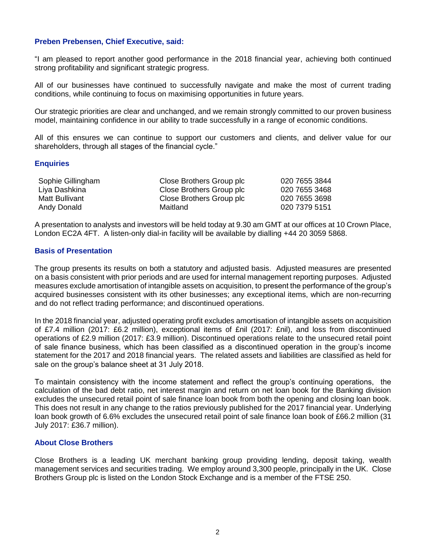### **Preben Prebensen, Chief Executive, said:**

"I am pleased to report another good performance in the 2018 financial year, achieving both continued strong profitability and significant strategic progress.

All of our businesses have continued to successfully navigate and make the most of current trading conditions, while continuing to focus on maximising opportunities in future years.

Our strategic priorities are clear and unchanged, and we remain strongly committed to our proven business model, maintaining confidence in our ability to trade successfully in a range of economic conditions.

All of this ensures we can continue to support our customers and clients, and deliver value for our shareholders, through all stages of the financial cycle."

#### **Enquiries**

| Sophie Gillingham | Close Brothers Group plc | 020 7655 3844 |
|-------------------|--------------------------|---------------|
| Liya Dashkina     | Close Brothers Group plc | 020 7655 3468 |
| Matt Bullivant    | Close Brothers Group plc | 020 7655 3698 |
| Andy Donald       | Maitland                 | 020 7379 5151 |

A presentation to analysts and investors will be held today at 9.30 am GMT at our offices at 10 Crown Place, London EC2A 4FT. A listen-only dial-in facility will be available by dialling +44 20 3059 5868.

## **Basis of Presentation**

The group presents its results on both a statutory and adjusted basis. Adjusted measures are presented on a basis consistent with prior periods and are used for internal management reporting purposes. Adjusted measures exclude amortisation of intangible assets on acquisition, to present the performance of the group's acquired businesses consistent with its other businesses; any exceptional items, which are non-recurring and do not reflect trading performance; and discontinued operations.

In the 2018 financial year, adjusted operating profit excludes amortisation of intangible assets on acquisition of £7.4 million (2017: £6.2 million), exceptional items of £nil (2017: £nil), and loss from discontinued operations of £2.9 million (2017: £3.9 million). Discontinued operations relate to the unsecured retail point of sale finance business, which has been classified as a discontinued operation in the group's income statement for the 2017 and 2018 financial years. The related assets and liabilities are classified as held for sale on the group's balance sheet at 31 July 2018.

To maintain consistency with the income statement and reflect the group's continuing operations, the calculation of the bad debt ratio, net interest margin and return on net loan book for the Banking division excludes the unsecured retail point of sale finance loan book from both the opening and closing loan book. This does not result in any change to the ratios previously published for the 2017 financial year. Underlying loan book growth of 6.6% excludes the unsecured retail point of sale finance loan book of £66.2 million (31 July 2017: £36.7 million).

#### **About Close Brothers**

Close Brothers is a leading UK merchant banking group providing lending, deposit taking, wealth management services and securities trading. We employ around 3,300 people, principally in the UK. Close Brothers Group plc is listed on the London Stock Exchange and is a member of the FTSE 250.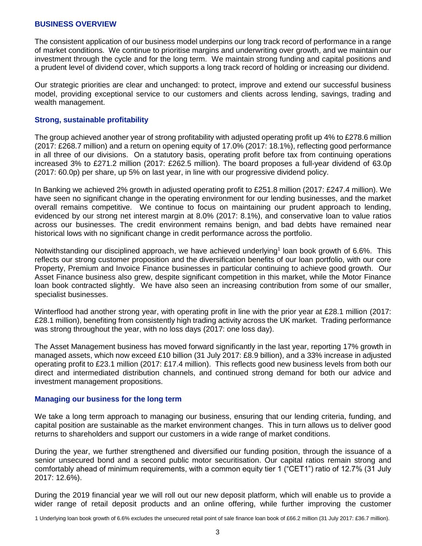### **BUSINESS OVERVIEW**

The consistent application of our business model underpins our long track record of performance in a range of market conditions. We continue to prioritise margins and underwriting over growth, and we maintain our investment through the cycle and for the long term. We maintain strong funding and capital positions and a prudent level of dividend cover, which supports a long track record of holding or increasing our dividend.

Our strategic priorities are clear and unchanged: to protect, improve and extend our successful business model, providing exceptional service to our customers and clients across lending, savings, trading and wealth management.

#### **Strong, sustainable profitability**

The group achieved another year of strong profitability with adjusted operating profit up 4% to £278.6 million (2017: £268.7 million) and a return on opening equity of 17.0% (2017: 18.1%), reflecting good performance in all three of our divisions. On a statutory basis, operating profit before tax from continuing operations increased 3% to £271.2 million (2017: £262.5 million). The board proposes a full-year dividend of 63.0p (2017: 60.0p) per share, up 5% on last year, in line with our progressive dividend policy.

In Banking we achieved 2% growth in adjusted operating profit to £251.8 million (2017: £247.4 million). We have seen no significant change in the operating environment for our lending businesses, and the market overall remains competitive. We continue to focus on maintaining our prudent approach to lending, evidenced by our strong net interest margin at 8.0% (2017: 8.1%), and conservative loan to value ratios across our businesses. The credit environment remains benign, and bad debts have remained near historical lows with no significant change in credit performance across the portfolio.

Notwithstanding our disciplined approach, we have achieved underlying<sup>1</sup> loan book growth of 6.6%. This reflects our strong customer proposition and the diversification benefits of our loan portfolio, with our core Property, Premium and Invoice Finance businesses in particular continuing to achieve good growth. Our Asset Finance business also grew, despite significant competition in this market, while the Motor Finance loan book contracted slightly. We have also seen an increasing contribution from some of our smaller, specialist businesses.

Winterflood had another strong year, with operating profit in line with the prior year at £28.1 million (2017: £28.1 million), benefiting from consistently high trading activity across the UK market. Trading performance was strong throughout the year, with no loss days (2017: one loss day).

The Asset Management business has moved forward significantly in the last year, reporting 17% growth in managed assets, which now exceed £10 billion (31 July 2017: £8.9 billion), and a 33% increase in adjusted operating profit to £23.1 million (2017: £17.4 million). This reflects good new business levels from both our direct and intermediated distribution channels, and continued strong demand for both our advice and investment management propositions.

#### **Managing our business for the long term**

We take a long term approach to managing our business, ensuring that our lending criteria, funding, and capital position are sustainable as the market environment changes. This in turn allows us to deliver good returns to shareholders and support our customers in a wide range of market conditions.

During the year, we further strengthened and diversified our funding position, through the issuance of a senior unsecured bond and a second public motor securitisation. Our capital ratios remain strong and comfortably ahead of minimum requirements, with a common equity tier 1 ("CET1") ratio of 12.7% (31 July 2017: 12.6%).

During the 2019 financial year we will roll out our new deposit platform, which will enable us to provide a wider range of retail deposit products and an online offering, while further improving the customer

<sup>1</sup> Underlying loan book growth of 6.6% excludes the unsecured retail point of sale finance loan book of £66.2 million (31 July 2017: £36.7 million).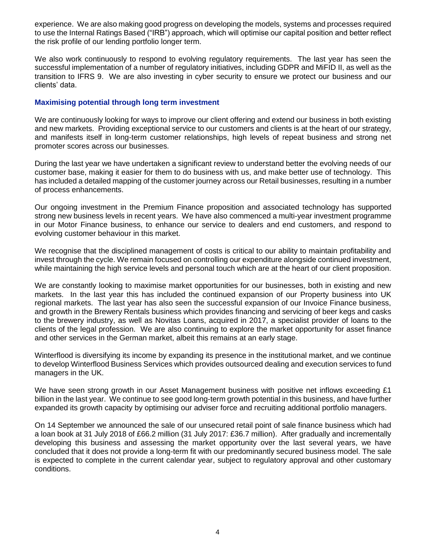experience. We are also making good progress on developing the models, systems and processes required to use the Internal Ratings Based ("IRB") approach, which will optimise our capital position and better reflect the risk profile of our lending portfolio longer term.

We also work continuously to respond to evolving regulatory requirements. The last year has seen the successful implementation of a number of regulatory initiatives, including GDPR and MiFID II, as well as the transition to IFRS 9. We are also investing in cyber security to ensure we protect our business and our clients' data.

### **Maximising potential through long term investment**

We are continuously looking for ways to improve our client offering and extend our business in both existing and new markets. Providing exceptional service to our customers and clients is at the heart of our strategy, and manifests itself in long-term customer relationships, high levels of repeat business and strong net promoter scores across our businesses.

During the last year we have undertaken a significant review to understand better the evolving needs of our customer base, making it easier for them to do business with us, and make better use of technology. This has included a detailed mapping of the customer journey across our Retail businesses, resulting in a number of process enhancements.

Our ongoing investment in the Premium Finance proposition and associated technology has supported strong new business levels in recent years. We have also commenced a multi-year investment programme in our Motor Finance business, to enhance our service to dealers and end customers, and respond to evolving customer behaviour in this market.

We recognise that the disciplined management of costs is critical to our ability to maintain profitability and invest through the cycle. We remain focused on controlling our expenditure alongside continued investment, while maintaining the high service levels and personal touch which are at the heart of our client proposition.

We are constantly looking to maximise market opportunities for our businesses, both in existing and new markets. In the last year this has included the continued expansion of our Property business into UK regional markets. The last year has also seen the successful expansion of our Invoice Finance business, and growth in the Brewery Rentals business which provides financing and servicing of beer kegs and casks to the brewery industry, as well as Novitas Loans, acquired in 2017, a specialist provider of loans to the clients of the legal profession. We are also continuing to explore the market opportunity for asset finance and other services in the German market, albeit this remains at an early stage.

Winterflood is diversifying its income by expanding its presence in the institutional market, and we continue to develop Winterflood Business Services which provides outsourced dealing and execution services to fund managers in the UK.

We have seen strong growth in our Asset Management business with positive net inflows exceeding £1 billion in the last year. We continue to see good long-term growth potential in this business, and have further expanded its growth capacity by optimising our adviser force and recruiting additional portfolio managers.

On 14 September we announced the sale of our unsecured retail point of sale finance business which had a loan book at 31 July 2018 of £66.2 million (31 July 2017: £36.7 million). After gradually and incrementally developing this business and assessing the market opportunity over the last several years, we have concluded that it does not provide a long-term fit with our predominantly secured business model. The sale is expected to complete in the current calendar year, subject to regulatory approval and other customary conditions.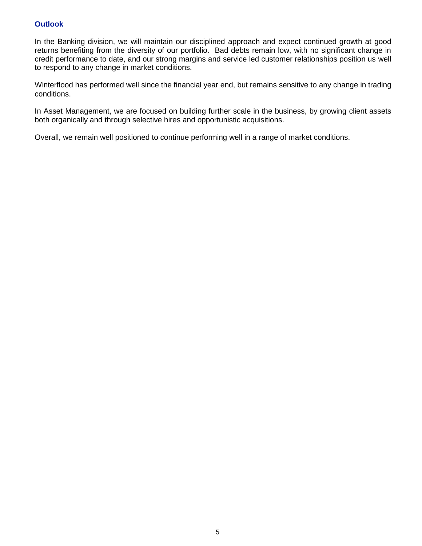## **Outlook**

In the Banking division, we will maintain our disciplined approach and expect continued growth at good returns benefiting from the diversity of our portfolio. Bad debts remain low, with no significant change in credit performance to date, and our strong margins and service led customer relationships position us well to respond to any change in market conditions.

Winterflood has performed well since the financial year end, but remains sensitive to any change in trading conditions.

In Asset Management, we are focused on building further scale in the business, by growing client assets both organically and through selective hires and opportunistic acquisitions.

Overall, we remain well positioned to continue performing well in a range of market conditions.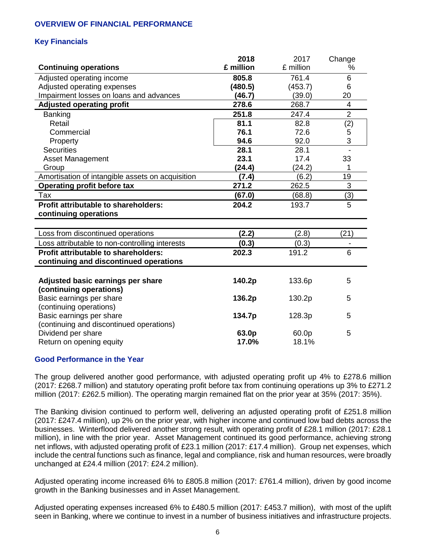## **OVERVIEW OF FINANCIAL PERFORMANCE**

## **Key Financials**

|                                                  | 2018      | 2017      | Change                   |
|--------------------------------------------------|-----------|-----------|--------------------------|
| <b>Continuing operations</b>                     | £ million | £ million | %                        |
| Adjusted operating income                        | 805.8     | 761.4     | 6                        |
| Adjusted operating expenses                      | (480.5)   | (453.7)   | 6                        |
| Impairment losses on loans and advances          | (46.7)    | (39.0)    | 20                       |
| <b>Adjusted operating profit</b>                 | 278.6     | 268.7     | 4                        |
| <b>Banking</b>                                   | 251.8     | 247.4     | $\mathbf 2$              |
| Retail                                           | 81.1      | 82.8      | (2)                      |
| Commercial                                       | 76.1      | 72.6      | 5                        |
| Property                                         | 94.6      | 92.0      | 3                        |
| <b>Securities</b>                                | 28.1      | 28.1      | $\overline{\phantom{a}}$ |
| Asset Management                                 | 23.1      | 17.4      | 33                       |
| Group                                            | (24.4)    | (24.2)    | 1                        |
| Amortisation of intangible assets on acquisition | (7.4)     | (6.2)     | 19                       |
| Operating profit before tax                      | 271.2     | 262.5     | $\overline{3}$           |
| Tax                                              | (67.0)    | (68.8)    | (3)                      |
| <b>Profit attributable to shareholders:</b>      | 204.2     | 193.7     | 5                        |
| continuing operations                            |           |           |                          |
|                                                  |           |           |                          |
| Loss from discontinued operations                | (2.2)     | (2.8)     | (21)                     |
| Loss attributable to non-controlling interests   | (0.3)     | (0.3)     |                          |
| <b>Profit attributable to shareholders:</b>      | 202.3     | 191.2     | 6                        |
| continuing and discontinued operations           |           |           |                          |
|                                                  |           |           |                          |
| Adjusted basic earnings per share                | 140.2p    | 133.6p    | 5                        |
| (continuing operations)                          |           |           |                          |
| Basic earnings per share                         | 136.2p    | 130.2p    | 5                        |
| (continuing operations)                          |           |           |                          |
| Basic earnings per share                         | 134.7p    | 128.3p    | 5                        |
| (continuing and discontinued operations)         |           |           |                          |
| Dividend per share                               | 63.0p     | 60.0p     | 5                        |
| Return on opening equity                         | 17.0%     | 18.1%     |                          |

## **Good Performance in the Year**

The group delivered another good performance, with adjusted operating profit up 4% to £278.6 million (2017: £268.7 million) and statutory operating profit before tax from continuing operations up 3% to £271.2 million (2017: £262.5 million). The operating margin remained flat on the prior year at 35% (2017: 35%).

The Banking division continued to perform well, delivering an adjusted operating profit of £251.8 million (2017: £247.4 million), up 2% on the prior year, with higher income and continued low bad debts across the businesses. Winterflood delivered another strong result, with operating profit of £28.1 million (2017: £28.1 million), in line with the prior year. Asset Management continued its good performance, achieving strong net inflows, with adjusted operating profit of £23.1 million (2017: £17.4 million). Group net expenses, which include the central functions such as finance, legal and compliance, risk and human resources, were broadly unchanged at £24.4 million (2017: £24.2 million).

Adjusted operating income increased 6% to £805.8 million (2017: £761.4 million), driven by good income growth in the Banking businesses and in Asset Management.

Adjusted operating expenses increased 6% to £480.5 million (2017: £453.7 million), with most of the uplift seen in Banking, where we continue to invest in a number of business initiatives and infrastructure projects.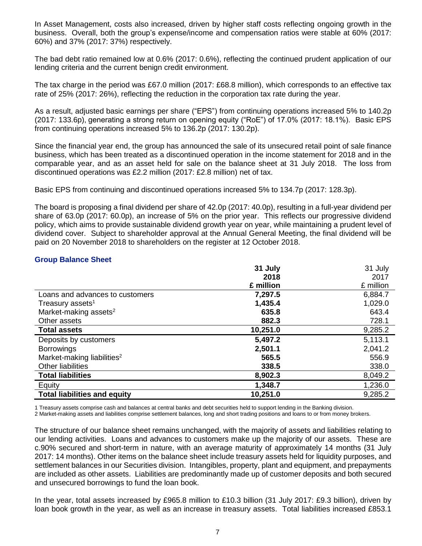In Asset Management, costs also increased, driven by higher staff costs reflecting ongoing growth in the business. Overall, both the group's expense/income and compensation ratios were stable at 60% (2017: 60%) and 37% (2017: 37%) respectively.

The bad debt ratio remained low at 0.6% (2017: 0.6%), reflecting the continued prudent application of our lending criteria and the current benign credit environment.

The tax charge in the period was £67.0 million (2017: £68.8 million), which corresponds to an effective tax rate of 25% (2017: 26%), reflecting the reduction in the corporation tax rate during the year.

As a result, adjusted basic earnings per share ("EPS") from continuing operations increased 5% to 140.2p (2017: 133.6p), generating a strong return on opening equity ("RoE") of 17.0% (2017: 18.1%). Basic EPS from continuing operations increased 5% to 136.2p (2017: 130.2p).

Since the financial year end, the group has announced the sale of its unsecured retail point of sale finance business, which has been treated as a discontinued operation in the income statement for 2018 and in the comparable year, and as an asset held for sale on the balance sheet at 31 July 2018. The loss from discontinued operations was £2.2 million (2017: £2.8 million) net of tax.

Basic EPS from continuing and discontinued operations increased 5% to 134.7p (2017: 128.3p).

The board is proposing a final dividend per share of 42.0p (2017: 40.0p), resulting in a full-year dividend per share of 63.0p (2017: 60.0p), an increase of 5% on the prior year. This reflects our progressive dividend policy, which aims to provide sustainable dividend growth year on year, while maintaining a prudent level of dividend cover. Subject to shareholder approval at the Annual General Meeting, the final dividend will be paid on 20 November 2018 to shareholders on the register at 12 October 2018.

### **Group Balance Sheet**

|                                        | 31 July   | 31 July   |
|----------------------------------------|-----------|-----------|
|                                        | 2018      | 2017      |
|                                        | £ million | £ million |
| Loans and advances to customers        | 7,297.5   | 6,884.7   |
| Treasury assets <sup>1</sup>           | 1,435.4   | 1,029.0   |
| Market-making assets <sup>2</sup>      | 635.8     | 643.4     |
| Other assets                           | 882.3     | 728.1     |
| <b>Total assets</b>                    | 10,251.0  | 9,285.2   |
| Deposits by customers                  | 5,497.2   | 5,113.1   |
| <b>Borrowings</b>                      | 2,501.1   | 2,041.2   |
| Market-making liabilities <sup>2</sup> | 565.5     | 556.9     |
| <b>Other liabilities</b>               | 338.5     | 338.0     |
| <b>Total liabilities</b>               | 8,902.3   | 8,049.2   |
| Equity                                 | 1,348.7   | 1,236.0   |
| <b>Total liabilities and equity</b>    | 10,251.0  | 9,285.2   |

1 Treasury assets comprise cash and balances at central banks and debt securities held to support lending in the Banking division.

2 Market-making assets and liabilities comprise settlement balances, long and short trading positions and loans to or from money brokers.

The structure of our balance sheet remains unchanged, with the majority of assets and liabilities relating to our lending activities. Loans and advances to customers make up the majority of our assets. These are c.90% secured and short-term in nature, with an average maturity of approximately 14 months (31 July 2017: 14 months). Other items on the balance sheet include treasury assets held for liquidity purposes, and settlement balances in our Securities division. Intangibles, property, plant and equipment, and prepayments are included as other assets. Liabilities are predominantly made up of customer deposits and both secured and unsecured borrowings to fund the loan book.

In the year, total assets increased by £965.8 million to £10.3 billion (31 July 2017: £9.3 billion), driven by loan book growth in the year, as well as an increase in treasury assets. Total liabilities increased £853.1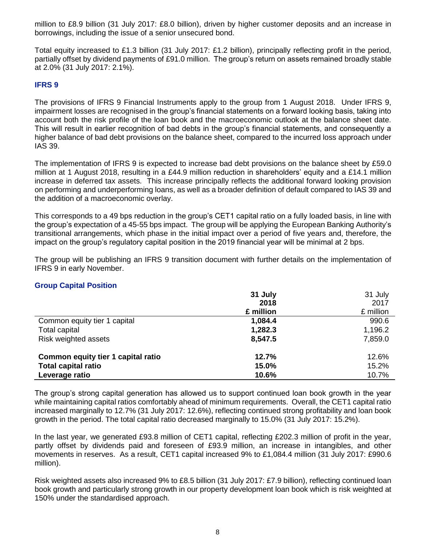million to £8.9 billion (31 July 2017: £8.0 billion), driven by higher customer deposits and an increase in borrowings, including the issue of a senior unsecured bond.

Total equity increased to £1.3 billion (31 July 2017: £1.2 billion), principally reflecting profit in the period, partially offset by dividend payments of £91.0 million. The group's return on assets remained broadly stable at 2.0% (31 July 2017: 2.1%).

### **IFRS 9**

The provisions of IFRS 9 Financial Instruments apply to the group from 1 August 2018. Under IFRS 9, impairment losses are recognised in the group's financial statements on a forward looking basis, taking into account both the risk profile of the loan book and the macroeconomic outlook at the balance sheet date. This will result in earlier recognition of bad debts in the group's financial statements, and consequently a higher balance of bad debt provisions on the balance sheet, compared to the incurred loss approach under IAS 39.

The implementation of IFRS 9 is expected to increase bad debt provisions on the balance sheet by £59.0 million at 1 August 2018, resulting in a £44.9 million reduction in shareholders' equity and a £14.1 million increase in deferred tax assets. This increase principally reflects the additional forward looking provision on performing and underperforming loans, as well as a broader definition of default compared to IAS 39 and the addition of a macroeconomic overlay.

This corresponds to a 49 bps reduction in the group's CET1 capital ratio on a fully loaded basis, in line with the group's expectation of a 45-55 bps impact. The group will be applying the European Banking Authority's transitional arrangements, which phase in the initial impact over a period of five years and, therefore, the impact on the group's regulatory capital position in the 2019 financial year will be minimal at 2 bps.

The group will be publishing an IFRS 9 transition document with further details on the implementation of IFRS 9 in early November.

#### **Group Capital Position**

|                                    | 31 July   | 31 July   |
|------------------------------------|-----------|-----------|
|                                    | 2018      | 2017      |
|                                    | £ million | £ million |
| Common equity tier 1 capital       | 1,084.4   | 990.6     |
| Total capital                      | 1,282.3   | 1,196.2   |
| Risk weighted assets               | 8,547.5   | 7,859.0   |
| Common equity tier 1 capital ratio | 12.7%     | 12.6%     |
| <b>Total capital ratio</b>         | 15.0%     | 15.2%     |
| Leverage ratio                     | 10.6%     | 10.7%     |

The group's strong capital generation has allowed us to support continued loan book growth in the year while maintaining capital ratios comfortably ahead of minimum requirements. Overall, the CET1 capital ratio increased marginally to 12.7% (31 July 2017: 12.6%), reflecting continued strong profitability and loan book growth in the period. The total capital ratio decreased marginally to 15.0% (31 July 2017: 15.2%).

In the last year, we generated £93.8 million of CET1 capital, reflecting £202.3 million of profit in the year, partly offset by dividends paid and foreseen of £93.9 million, an increase in intangibles, and other movements in reserves. As a result, CET1 capital increased 9% to £1,084.4 million (31 July 2017: £990.6 million).

Risk weighted assets also increased 9% to £8.5 billion (31 July 2017: £7.9 billion), reflecting continued loan book growth and particularly strong growth in our property development loan book which is risk weighted at 150% under the standardised approach.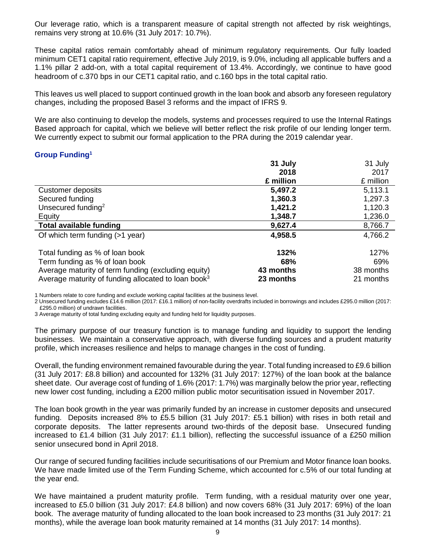Our leverage ratio, which is a transparent measure of capital strength not affected by risk weightings, remains very strong at 10.6% (31 July 2017: 10.7%).

These capital ratios remain comfortably ahead of minimum regulatory requirements. Our fully loaded minimum CET1 capital ratio requirement, effective July 2019, is 9.0%, including all applicable buffers and a 1.1% pillar 2 add-on, with a total capital requirement of 13.4%. Accordingly, we continue to have good headroom of c.370 bps in our CET1 capital ratio, and c.160 bps in the total capital ratio.

This leaves us well placed to support continued growth in the loan book and absorb any foreseen regulatory changes, including the proposed Basel 3 reforms and the impact of IFRS 9.

We are also continuing to develop the models, systems and processes required to use the Internal Ratings Based approach for capital, which we believe will better reflect the risk profile of our lending longer term. We currently expect to submit our formal application to the PRA during the 2019 calendar year.

### **Group Funding<sup>1</sup>**

|                                                                 | 31 July   | 31 July   |
|-----------------------------------------------------------------|-----------|-----------|
|                                                                 | 2018      | 2017      |
|                                                                 | £ million | £ million |
| Customer deposits                                               | 5,497.2   | 5,113.1   |
| Secured funding                                                 | 1,360.3   | 1,297.3   |
| Unsecured funding <sup>2</sup>                                  | 1,421.2   | 1,120.3   |
| Equity                                                          | 1,348.7   | 1,236.0   |
| <b>Total available funding</b>                                  | 9,627.4   | 8,766.7   |
| Of which term funding $(>1$ year)                               | 4,958.5   | 4,766.2   |
| Total funding as % of loan book                                 | 132%      | 127%      |
| Term funding as % of loan book                                  | 68%       | 69%       |
| Average maturity of term funding (excluding equity)             | 43 months | 38 months |
| Average maturity of funding allocated to loan book <sup>3</sup> | 23 months | 21 months |

1 Numbers relate to core funding and exclude working capital facilities at the business level.

2 Unsecured funding excludes £14.6 million (2017: £16.1 million) of non-facility overdrafts included in borrowings and includes £295.0 million (2017: £295.0 million) of undrawn facilities.

3 Average maturity of total funding excluding equity and funding held for liquidity purposes.

The primary purpose of our treasury function is to manage funding and liquidity to support the lending businesses. We maintain a conservative approach, with diverse funding sources and a prudent maturity profile, which increases resilience and helps to manage changes in the cost of funding.

Overall, the funding environment remained favourable during the year. Total funding increased to £9.6 billion (31 July 2017: £8.8 billion) and accounted for 132% (31 July 2017: 127%) of the loan book at the balance sheet date. Our average cost of funding of 1.6% (2017: 1.7%) was marginally below the prior year, reflecting new lower cost funding, including a £200 million public motor securitisation issued in November 2017.

The loan book growth in the year was primarily funded by an increase in customer deposits and unsecured funding. Deposits increased 8% to £5.5 billion (31 July 2017: £5.1 billion) with rises in both retail and corporate deposits. The latter represents around two-thirds of the deposit base. Unsecured funding increased to £1.4 billion (31 July 2017: £1.1 billion), reflecting the successful issuance of a £250 million senior unsecured bond in April 2018.

Our range of secured funding facilities include securitisations of our Premium and Motor finance loan books. We have made limited use of the Term Funding Scheme, which accounted for c.5% of our total funding at the year end.

We have maintained a prudent maturity profile. Term funding, with a residual maturity over one year, increased to £5.0 billion (31 July 2017: £4.8 billion) and now covers 68% (31 July 2017: 69%) of the loan book. The average maturity of funding allocated to the loan book increased to 23 months (31 July 2017: 21 months), while the average loan book maturity remained at 14 months (31 July 2017: 14 months).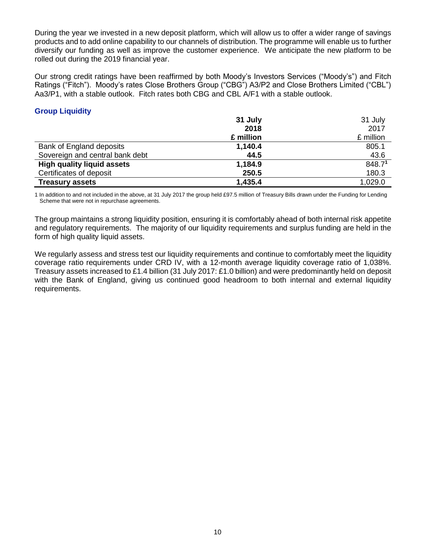During the year we invested in a new deposit platform, which will allow us to offer a wider range of savings products and to add online capability to our channels of distribution. The programme will enable us to further diversify our funding as well as improve the customer experience. We anticipate the new platform to be rolled out during the 2019 financial year.

Our strong credit ratings have been reaffirmed by both Moody's Investors Services ("Moody's") and Fitch Ratings ("Fitch"). Moody's rates Close Brothers Group ("CBG") A3/P2 and Close Brothers Limited ("CBL") Aa3/P1, with a stable outlook. Fitch rates both CBG and CBL A/F1 with a stable outlook.

## **Group Liquidity**

|                                   | 31 July   | 31 July   |
|-----------------------------------|-----------|-----------|
|                                   | 2018      | 2017      |
|                                   | £ million | £ million |
| Bank of England deposits          | 1,140.4   | 805.1     |
| Sovereign and central bank debt   | 44.5      | 43.6      |
| <b>High quality liquid assets</b> | 1,184.9   | 848.71    |
| Certificates of deposit           | 250.5     | 180.3     |
| <b>Treasury assets</b>            | 1,435.4   | 1,029.0   |

1 In addition to and not included in the above, at 31 July 2017 the group held £97.5 million of Treasury Bills drawn under the Funding for Lending Scheme that were not in repurchase agreements.

The group maintains a strong liquidity position, ensuring it is comfortably ahead of both internal risk appetite and regulatory requirements. The majority of our liquidity requirements and surplus funding are held in the form of high quality liquid assets.

We regularly assess and stress test our liquidity requirements and continue to comfortably meet the liquidity coverage ratio requirements under CRD IV, with a 12-month average liquidity coverage ratio of 1,038%. Treasury assets increased to £1.4 billion (31 July 2017: £1.0 billion) and were predominantly held on deposit with the Bank of England, giving us continued good headroom to both internal and external liquidity requirements.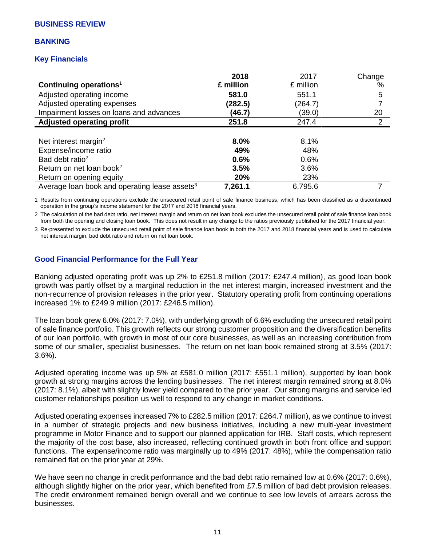#### **BANKING**

## **Key Financials**

|                                                           | 2018      | 2017      | Change         |
|-----------------------------------------------------------|-----------|-----------|----------------|
| Continuing operations <sup>1</sup>                        | £ million | £ million | %              |
| Adjusted operating income                                 | 581.0     | 551.1     | 5              |
| Adjusted operating expenses                               | (282.5)   | (264.7)   |                |
| Impairment losses on loans and advances                   | (46.7)    | (39.0)    | 20             |
| <b>Adjusted operating profit</b>                          | 251.8     | 247.4     | $\overline{2}$ |
|                                                           |           |           |                |
| Net interest margin <sup>2</sup>                          | 8.0%      | 8.1%      |                |
| Expense/income ratio                                      | 49%       | 48%       |                |
| Bad debt ratio <sup>2</sup>                               | 0.6%      | 0.6%      |                |
| Return on net loan book <sup>2</sup>                      | 3.5%      | 3.6%      |                |
| Return on opening equity                                  | 20%       | 23%       |                |
| Average loan book and operating lease assets <sup>3</sup> | 7,261.1   | 6,795.6   |                |

1 Results from continuing operations exclude the unsecured retail point of sale finance business, which has been classified as a discontinued operation in the group's income statement for the 2017 and 2018 financial years.

2 The calculation of the bad debt ratio, net interest margin and return on net loan book excludes the unsecured retail point of sale finance loan book from both the opening and closing loan book. This does not result in any change to the ratios previously published for the 2017 financial year.

3 Re-presented to exclude the unsecured retail point of sale finance loan book in both the 2017 and 2018 financial years and is used to calculate net interest margin, bad debt ratio and return on net loan book.

### **Good Financial Performance for the Full Year**

Banking adjusted operating profit was up 2% to £251.8 million (2017: £247.4 million), as good loan book growth was partly offset by a marginal reduction in the net interest margin, increased investment and the non-recurrence of provision releases in the prior year. Statutory operating profit from continuing operations increased 1% to £249.9 million (2017: £246.5 million).

The loan book grew 6.0% (2017: 7.0%), with underlying growth of 6.6% excluding the unsecured retail point of sale finance portfolio. This growth reflects our strong customer proposition and the diversification benefits of our loan portfolio, with growth in most of our core businesses, as well as an increasing contribution from some of our smaller, specialist businesses. The return on net loan book remained strong at 3.5% (2017: 3.6%).

Adjusted operating income was up 5% at £581.0 million (2017: £551.1 million), supported by loan book growth at strong margins across the lending businesses. The net interest margin remained strong at 8.0% (2017: 8.1%), albeit with slightly lower yield compared to the prior year. Our strong margins and service led customer relationships position us well to respond to any change in market conditions.

Adjusted operating expenses increased 7% to £282.5 million (2017: £264.7 million), as we continue to invest in a number of strategic projects and new business initiatives, including a new multi-year investment programme in Motor Finance and to support our planned application for IRB. Staff costs, which represent the majority of the cost base, also increased, reflecting continued growth in both front office and support functions. The expense/income ratio was marginally up to 49% (2017: 48%), while the compensation ratio remained flat on the prior year at 29%.

We have seen no change in credit performance and the bad debt ratio remained low at 0.6% (2017: 0.6%), although slightly higher on the prior year, which benefited from £7.5 million of bad debt provision releases. The credit environment remained benign overall and we continue to see low levels of arrears across the businesses.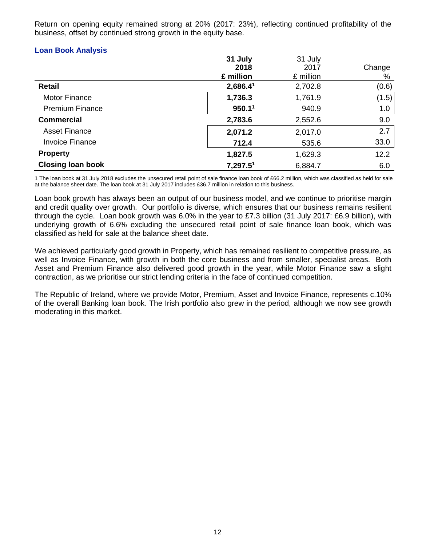Return on opening equity remained strong at 20% (2017: 23%), reflecting continued profitability of the business, offset by continued strong growth in the equity base.

#### **Loan Book Analysis**

|                          | 31 July              | 31 July   |        |
|--------------------------|----------------------|-----------|--------|
|                          | 2018                 | 2017      | Change |
|                          | £ million            | £ million | %      |
| <b>Retail</b>            | 2,686.4 <sup>1</sup> | 2,702.8   | (0.6)  |
| Motor Finance            | 1,736.3              | 1,761.9   | (1.5)  |
| <b>Premium Finance</b>   | 950.1 <sup>1</sup>   | 940.9     | 1.0    |
| <b>Commercial</b>        | 2,783.6              | 2,552.6   | 9.0    |
| <b>Asset Finance</b>     | 2,071.2              | 2,017.0   | 2.7    |
| <b>Invoice Finance</b>   | 712.4                | 535.6     | 33.0   |
| <b>Property</b>          | 1,827.5              | 1,629.3   | 12.2   |
| <b>Closing loan book</b> | 7,297.51             | 6,884.7   | 6.0    |

1 The loan book at 31 July 2018 excludes the unsecured retail point of sale finance loan book of £66.2 million, which was classified as held for sale at the balance sheet date. The loan book at 31 July 2017 includes £36.7 million in relation to this business.

Loan book growth has always been an output of our business model, and we continue to prioritise margin and credit quality over growth. Our portfolio is diverse, which ensures that our business remains resilient through the cycle. Loan book growth was 6.0% in the year to £7.3 billion (31 July 2017: £6.9 billion), with underlying growth of 6.6% excluding the unsecured retail point of sale finance loan book, which was classified as held for sale at the balance sheet date.

We achieved particularly good growth in Property, which has remained resilient to competitive pressure, as well as Invoice Finance, with growth in both the core business and from smaller, specialist areas. Both Asset and Premium Finance also delivered good growth in the year, while Motor Finance saw a slight contraction, as we prioritise our strict lending criteria in the face of continued competition.

The Republic of Ireland, where we provide Motor, Premium, Asset and Invoice Finance, represents c.10% of the overall Banking loan book. The Irish portfolio also grew in the period, although we now see growth moderating in this market.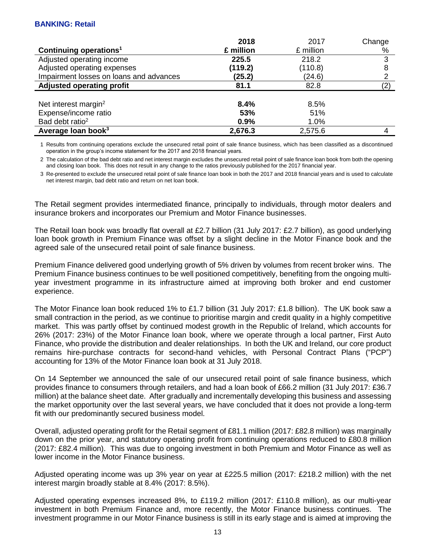### **BANKING: Retail**

| 2018      | 2017      | Change |
|-----------|-----------|--------|
| £ million | £ million | %      |
| 225.5     | 218.2     | 3      |
| (119.2)   | (110.8)   | 8      |
| (25.2)    | (24.6)    | っ      |
| 81.1      | 82.8      | (2)    |
|           |           |        |
| 8.4%      | 8.5%      |        |
| 53%       | 51%       |        |
| 0.9%      | 1.0%      |        |
| 2,676.3   | 2,575.6   |        |
|           |           |        |

1 Results from continuing operations exclude the unsecured retail point of sale finance business, which has been classified as a discontinued operation in the group's income statement for the 2017 and 2018 financial years.

2 The calculation of the bad debt ratio and net interest margin excludes the unsecured retail point of sale finance loan book from both the opening and closing loan book. This does not result in any change to the ratios previously published for the 2017 financial year.

3 Re-presented to exclude the unsecured retail point of sale finance loan book in both the 2017 and 2018 financial years and is used to calculate net interest margin, bad debt ratio and return on net loan book.

The Retail segment provides intermediated finance, principally to individuals, through motor dealers and insurance brokers and incorporates our Premium and Motor Finance businesses.

The Retail loan book was broadly flat overall at £2.7 billion (31 July 2017: £2.7 billion), as good underlying loan book growth in Premium Finance was offset by a slight decline in the Motor Finance book and the agreed sale of the unsecured retail point of sale finance business.

Premium Finance delivered good underlying growth of 5% driven by volumes from recent broker wins. The Premium Finance business continues to be well positioned competitively, benefiting from the ongoing multiyear investment programme in its infrastructure aimed at improving both broker and end customer experience.

The Motor Finance loan book reduced 1% to £1.7 billion (31 July 2017: £1.8 billion). The UK book saw a small contraction in the period, as we continue to prioritise margin and credit quality in a highly competitive market. This was partly offset by continued modest growth in the Republic of Ireland, which accounts for 26% (2017: 23%) of the Motor Finance loan book, where we operate through a local partner, First Auto Finance, who provide the distribution and dealer relationships. In both the UK and Ireland, our core product remains hire-purchase contracts for second-hand vehicles, with Personal Contract Plans ("PCP") accounting for 13% of the Motor Finance loan book at 31 July 2018.

On 14 September we announced the sale of our unsecured retail point of sale finance business, which provides finance to consumers through retailers, and had a loan book of £66.2 million (31 July 2017: £36.7 million) at the balance sheet date. After gradually and incrementally developing this business and assessing the market opportunity over the last several years, we have concluded that it does not provide a long-term fit with our predominantly secured business model.

Overall, adjusted operating profit for the Retail segment of £81.1 million (2017: £82.8 million) was marginally down on the prior year, and statutory operating profit from continuing operations reduced to £80.8 million (2017: £82.4 million). This was due to ongoing investment in both Premium and Motor Finance as well as lower income in the Motor Finance business.

Adjusted operating income was up 3% year on year at £225.5 million (2017: £218.2 million) with the net interest margin broadly stable at 8.4% (2017: 8.5%).

Adjusted operating expenses increased 8%, to £119.2 million (2017: £110.8 million), as our multi-year investment in both Premium Finance and, more recently, the Motor Finance business continues. The investment programme in our Motor Finance business is still in its early stage and is aimed at improving the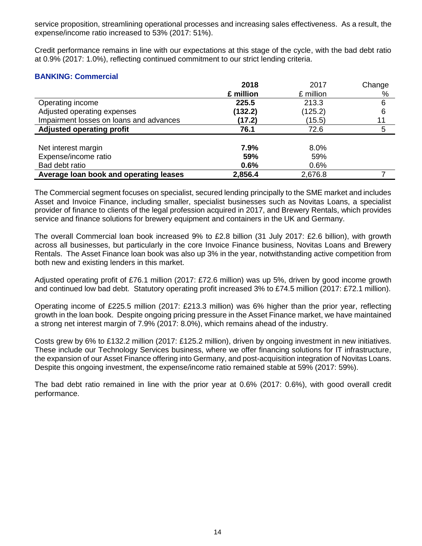service proposition, streamlining operational processes and increasing sales effectiveness. As a result, the expense/income ratio increased to 53% (2017: 51%).

Credit performance remains in line with our expectations at this stage of the cycle, with the bad debt ratio at 0.9% (2017: 1.0%), reflecting continued commitment to our strict lending criteria.

### **BANKING: Commercial**

|                                         | 2018      | 2017      | Change |
|-----------------------------------------|-----------|-----------|--------|
|                                         | £ million | £ million | %      |
| Operating income                        | 225.5     | 213.3     | 6      |
| Adjusted operating expenses             | (132.2)   | (125.2)   | 6      |
| Impairment losses on loans and advances | (17.2)    | (15.5)    | 11     |
| <b>Adjusted operating profit</b>        | 76.1      | 72.6      | 5      |
|                                         |           |           |        |
| Net interest margin                     | 7.9%      | 8.0%      |        |
| Expense/income ratio                    | 59%       | 59%       |        |
| Bad debt ratio                          | 0.6%      | 0.6%      |        |
| Average loan book and operating leases  | 2,856.4   | 2,676.8   |        |

The Commercial segment focuses on specialist, secured lending principally to the SME market and includes Asset and Invoice Finance, including smaller, specialist businesses such as Novitas Loans, a specialist provider of finance to clients of the legal profession acquired in 2017, and Brewery Rentals, which provides service and finance solutions for brewery equipment and containers in the UK and Germany.

The overall Commercial loan book increased 9% to £2.8 billion (31 July 2017: £2.6 billion), with growth across all businesses, but particularly in the core Invoice Finance business, Novitas Loans and Brewery Rentals. The Asset Finance loan book was also up 3% in the year, notwithstanding active competition from both new and existing lenders in this market.

Adjusted operating profit of £76.1 million (2017: £72.6 million) was up 5%, driven by good income growth and continued low bad debt. Statutory operating profit increased 3% to £74.5 million (2017: £72.1 million).

Operating income of £225.5 million (2017: £213.3 million) was 6% higher than the prior year, reflecting growth in the loan book. Despite ongoing pricing pressure in the Asset Finance market, we have maintained a strong net interest margin of 7.9% (2017: 8.0%), which remains ahead of the industry.

Costs grew by 6% to £132.2 million (2017: £125.2 million), driven by ongoing investment in new initiatives. These include our Technology Services business, where we offer financing solutions for IT infrastructure, the expansion of our Asset Finance offering into Germany, and post-acquisition integration of Novitas Loans. Despite this ongoing investment, the expense/income ratio remained stable at 59% (2017: 59%).

The bad debt ratio remained in line with the prior year at 0.6% (2017: 0.6%), with good overall credit performance.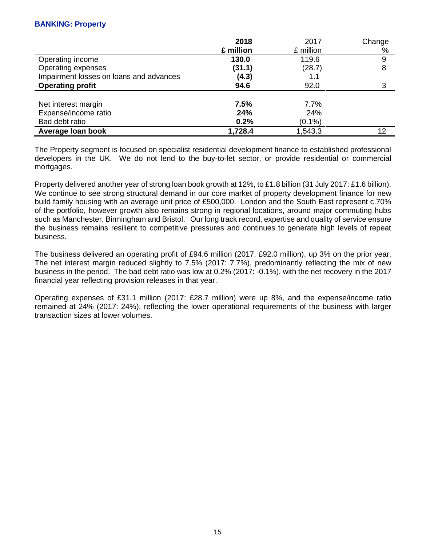### **BANKING: Property**

|                                         | 2018      | 2017      | Change |
|-----------------------------------------|-----------|-----------|--------|
|                                         | £ million | £ million | %      |
| Operating income                        | 130.0     | 119.6     | 9      |
| Operating expenses                      | (31.1)    | (28.7)    | 8      |
| Impairment losses on loans and advances | (4.3)     | 1.1       |        |
| <b>Operating profit</b>                 | 94.6      | 92.0      | 3      |
|                                         |           |           |        |
| Net interest margin                     | 7.5%      | 7.7%      |        |
| Expense/income ratio                    | 24%       | 24%       |        |
| Bad debt ratio                          | 0.2%      | $(0.1\%)$ |        |
| Average loan book                       | 1,728.4   | 1,543.3   | 12     |

The Property segment is focused on specialist residential development finance to established professional developers in the UK. We do not lend to the buy-to-let sector, or provide residential or commercial mortgages.

Property delivered another year of strong loan book growth at 12%, to £1.8 billion (31 July 2017: £1.6 billion). We continue to see strong structural demand in our core market of property development finance for new build family housing with an average unit price of £500,000. London and the South East represent c.70% of the portfolio, however growth also remains strong in regional locations, around major commuting hubs such as Manchester, Birmingham and Bristol. Our long track record, expertise and quality of service ensure the business remains resilient to competitive pressures and continues to generate high levels of repeat business.

The business delivered an operating profit of £94.6 million (2017: £92.0 million), up 3% on the prior year. The net interest margin reduced slightly to 7.5% (2017: 7.7%), predominantly reflecting the mix of new business in the period. The bad debt ratio was low at 0.2% (2017: -0.1%), with the net recovery in the 2017 financial year reflecting provision releases in that year.

Operating expenses of £31.1 million (2017: £28.7 million) were up 8%, and the expense/income ratio remained at 24% (2017: 24%), reflecting the lower operational requirements of the business with larger transaction sizes at lower volumes.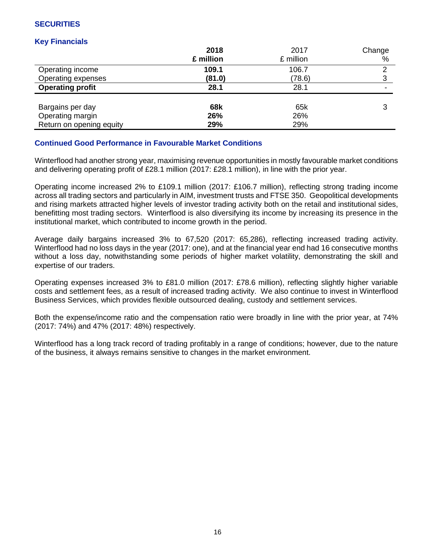## **SECURITIES**

## **Key Financials**

|                          | 2018      | 2017      | Change |
|--------------------------|-----------|-----------|--------|
|                          | £ million | £ million | %      |
| Operating income         | 109.1     | 106.7     | ົ      |
| Operating expenses       | (81.0)    | (78.6)    | 3      |
| <b>Operating profit</b>  | 28.1      | 28.1      | -      |
|                          |           |           |        |
| Bargains per day         | 68k       | 65k       |        |
| Operating margin         | 26%       | 26%       |        |
| Return on opening equity | 29%       | 29%       |        |

## **Continued Good Performance in Favourable Market Conditions**

Winterflood had another strong year, maximising revenue opportunities in mostly favourable market conditions and delivering operating profit of £28.1 million (2017: £28.1 million), in line with the prior year.

Operating income increased 2% to £109.1 million (2017: £106.7 million), reflecting strong trading income across all trading sectors and particularly in AIM, investment trusts and FTSE 350. Geopolitical developments and rising markets attracted higher levels of investor trading activity both on the retail and institutional sides, benefitting most trading sectors. Winterflood is also diversifying its income by increasing its presence in the institutional market, which contributed to income growth in the period.

Average daily bargains increased 3% to 67,520 (2017: 65,286), reflecting increased trading activity. Winterflood had no loss days in the year (2017: one), and at the financial year end had 16 consecutive months without a loss day, notwithstanding some periods of higher market volatility, demonstrating the skill and expertise of our traders.

Operating expenses increased 3% to £81.0 million (2017: £78.6 million), reflecting slightly higher variable costs and settlement fees, as a result of increased trading activity. We also continue to invest in Winterflood Business Services, which provides flexible outsourced dealing, custody and settlement services.

Both the expense/income ratio and the compensation ratio were broadly in line with the prior year, at 74% (2017: 74%) and 47% (2017: 48%) respectively.

Winterflood has a long track record of trading profitably in a range of conditions; however, due to the nature of the business, it always remains sensitive to changes in the market environment.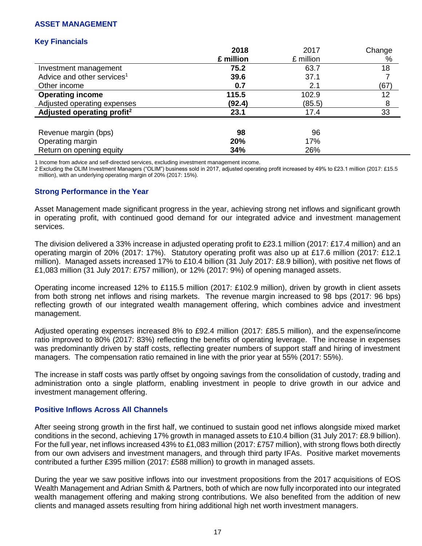### **ASSET MANAGEMENT**

## **Key Financials**

|                                        | 2018      | 2017      | Change |
|----------------------------------------|-----------|-----------|--------|
|                                        | £ million | £ million | %      |
| Investment management                  | 75.2      | 63.7      | 18     |
| Advice and other services <sup>1</sup> | 39.6      | 37.1      |        |
| Other income                           | 0.7       | 2.1       | (67)   |
| <b>Operating income</b>                | 115.5     | 102.9     | 12     |
| Adjusted operating expenses            | (92.4)    | (85.5)    | 8      |
| Adjusted operating profit <sup>2</sup> | 23.1      | 17.4      | 33     |
|                                        |           |           |        |
| Revenue margin (bps)                   | 98        | 96        |        |
| Operating margin                       | 20%       | 17%       |        |
| Return on opening equity               | 34%       | 26%       |        |

1 Income from advice and self-directed services, excluding investment management income.

2 Excluding the OLIM Investment Managers ("OLIM") business sold in 2017, adjusted operating profit increased by 49% to £23.1 million (2017: £15.5 million), with an underlying operating margin of 20% (2017: 15%).

### **Strong Performance in the Year**

Asset Management made significant progress in the year, achieving strong net inflows and significant growth in operating profit, with continued good demand for our integrated advice and investment management services.

The division delivered a 33% increase in adjusted operating profit to £23.1 million (2017: £17.4 million) and an operating margin of 20% (2017: 17%). Statutory operating profit was also up at £17.6 million (2017: £12.1 million). Managed assets increased 17% to £10.4 billion (31 July 2017: £8.9 billion), with positive net flows of £1,083 million (31 July 2017: £757 million), or 12% (2017: 9%) of opening managed assets.

Operating income increased 12% to £115.5 million (2017: £102.9 million), driven by growth in client assets from both strong net inflows and rising markets. The revenue margin increased to 98 bps (2017: 96 bps) reflecting growth of our integrated wealth management offering, which combines advice and investment management.

Adjusted operating expenses increased 8% to £92.4 million (2017: £85.5 million), and the expense/income ratio improved to 80% (2017: 83%) reflecting the benefits of operating leverage. The increase in expenses was predominantly driven by staff costs, reflecting greater numbers of support staff and hiring of investment managers. The compensation ratio remained in line with the prior year at 55% (2017: 55%).

The increase in staff costs was partly offset by ongoing savings from the consolidation of custody, trading and administration onto a single platform, enabling investment in people to drive growth in our advice and investment management offering.

#### **Positive Inflows Across All Channels**

After seeing strong growth in the first half, we continued to sustain good net inflows alongside mixed market conditions in the second, achieving 17% growth in managed assets to £10.4 billion (31 July 2017: £8.9 billion). For the full year, net inflows increased 43% to £1,083 million (2017: £757 million), with strong flows both directly from our own advisers and investment managers, and through third party IFAs. Positive market movements contributed a further £395 million (2017: £588 million) to growth in managed assets.

During the year we saw positive inflows into our investment propositions from the 2017 acquisitions of EOS Wealth Management and Adrian Smith & Partners, both of which are now fully incorporated into our integrated wealth management offering and making strong contributions. We also benefited from the addition of new clients and managed assets resulting from hiring additional high net worth investment managers.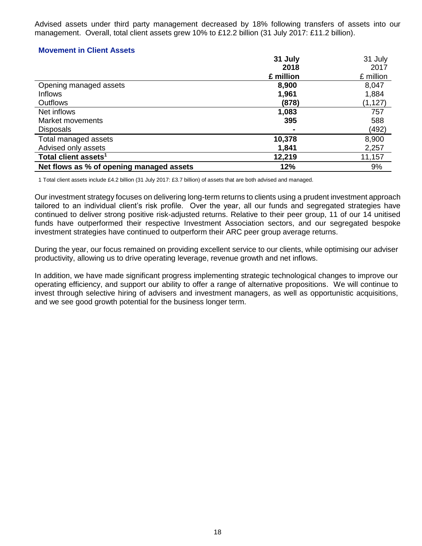Advised assets under third party management decreased by 18% following transfers of assets into our management. Overall, total client assets grew 10% to £12.2 billion (31 July 2017: £11.2 billion).

### **Movement in Client Assets**

|                                          | 31 July   | 31 July   |
|------------------------------------------|-----------|-----------|
|                                          | 2018      | 2017      |
|                                          | £ million | £ million |
| Opening managed assets                   | 8,900     | 8,047     |
| <b>Inflows</b>                           | 1,961     | 1,884     |
| <b>Outflows</b>                          | (878)     | (1, 127)  |
| Net inflows                              | 1,083     | 757       |
| Market movements                         | 395       | 588       |
| <b>Disposals</b>                         |           | (492)     |
| Total managed assets                     | 10,378    | 8,900     |
| Advised only assets                      | 1,841     | 2,257     |
| Total client assets <sup>1</sup>         | 12,219    | 11,157    |
| Net flows as % of opening managed assets | 12%       | 9%        |

1 Total client assets include £4.2 billion (31 July 2017: £3.7 billion) of assets that are both advised and managed.

Our investment strategy focuses on delivering long-term returns to clients using a prudent investment approach tailored to an individual client's risk profile. Over the year, all our funds and segregated strategies have continued to deliver strong positive risk-adjusted returns. Relative to their peer group, 11 of our 14 unitised funds have outperformed their respective Investment Association sectors, and our segregated bespoke investment strategies have continued to outperform their ARC peer group average returns.

During the year, our focus remained on providing excellent service to our clients, while optimising our adviser productivity, allowing us to drive operating leverage, revenue growth and net inflows.

In addition, we have made significant progress implementing strategic technological changes to improve our operating efficiency, and support our ability to offer a range of alternative propositions. We will continue to invest through selective hiring of advisers and investment managers, as well as opportunistic acquisitions, and we see good growth potential for the business longer term.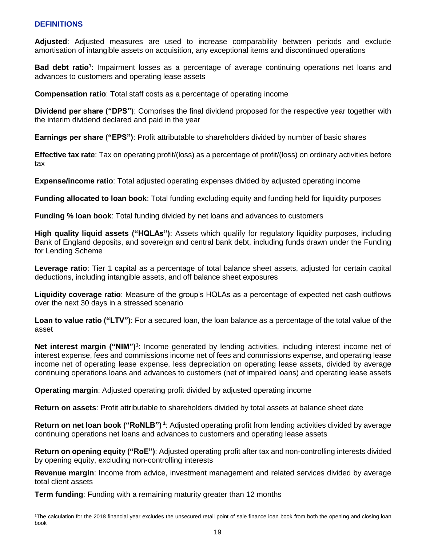## **DEFINITIONS**

**Adjusted**: Adjusted measures are used to increase comparability between periods and exclude amortisation of intangible assets on acquisition, any exceptional items and discontinued operations

**Bad debt ratio<sup>1</sup>** : Impairment losses as a percentage of average continuing operations net loans and advances to customers and operating lease assets

**Compensation ratio**: Total staff costs as a percentage of operating income

**Dividend per share ("DPS")**: Comprises the final dividend proposed for the respective year together with the interim dividend declared and paid in the year

**Earnings per share ("EPS")**: Profit attributable to shareholders divided by number of basic shares

**Effective tax rate**: Tax on operating profit/(loss) as a percentage of profit/(loss) on ordinary activities before tax

**Expense/income ratio**: Total adjusted operating expenses divided by adjusted operating income

**Funding allocated to loan book**: Total funding excluding equity and funding held for liquidity purposes

**Funding % loan book**: Total funding divided by net loans and advances to customers

**High quality liquid assets ("HQLAs")**: Assets which qualify for regulatory liquidity purposes, including Bank of England deposits, and sovereign and central bank debt, including funds drawn under the Funding for Lending Scheme

**Leverage ratio**: Tier 1 capital as a percentage of total balance sheet assets, adjusted for certain capital deductions, including intangible assets, and off balance sheet exposures

**Liquidity coverage ratio**: Measure of the group's HQLAs as a percentage of expected net cash outflows over the next 30 days in a stressed scenario

**Loan to value ratio ("LTV")**: For a secured loan, the loan balance as a percentage of the total value of the asset

Net interest margin ("NIM")<sup>1</sup>: Income generated by lending activities, including interest income net of interest expense, fees and commissions income net of fees and commissions expense, and operating lease income net of operating lease expense, less depreciation on operating lease assets, divided by average continuing operations loans and advances to customers (net of impaired loans) and operating lease assets

**Operating margin**: Adjusted operating profit divided by adjusted operating income

**Return on assets**: Profit attributable to shareholders divided by total assets at balance sheet date

**Return on net loan book ("RoNLB") <sup>1</sup>** : Adjusted operating profit from lending activities divided by average continuing operations net loans and advances to customers and operating lease assets

**Return on opening equity ("RoE")**: Adjusted operating profit after tax and non-controlling interests divided by opening equity, excluding non-controlling interests

**Revenue margin**: Income from advice, investment management and related services divided by average total client assets

**Term funding**: Funding with a remaining maturity greater than 12 months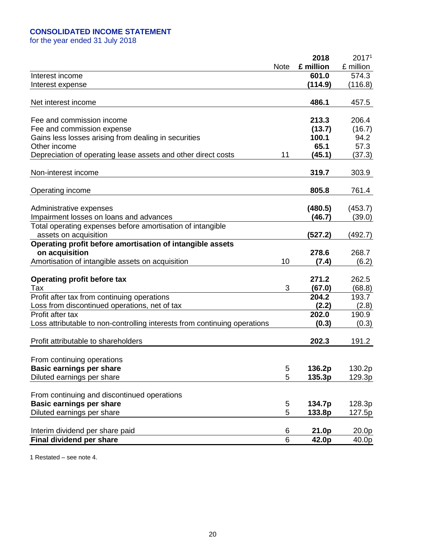## **CONSOLIDATED INCOME STATEMENT**

for the year ended 31 July 2018

|                                                                           |             | 2018      | 2017 <sup>1</sup> |
|---------------------------------------------------------------------------|-------------|-----------|-------------------|
|                                                                           | <b>Note</b> | £ million | £ million         |
| Interest income                                                           |             | 601.0     | 574.3             |
| Interest expense                                                          |             | (114.9)   | (116.8)           |
|                                                                           |             |           |                   |
| Net interest income                                                       |             | 486.1     | 457.5             |
|                                                                           |             |           |                   |
| Fee and commission income                                                 |             | 213.3     | 206.4             |
| Fee and commission expense                                                |             | (13.7)    | (16.7)            |
| Gains less losses arising from dealing in securities                      |             | 100.1     | 94.2              |
| Other income                                                              |             | 65.1      | 57.3              |
| Depreciation of operating lease assets and other direct costs             | 11          | (45.1)    | (37.3)            |
|                                                                           |             |           |                   |
| Non-interest income                                                       |             | 319.7     | 303.9             |
|                                                                           |             |           |                   |
| Operating income                                                          |             | 805.8     | 761.4             |
|                                                                           |             |           |                   |
| Administrative expenses                                                   |             | (480.5)   | (453.7)           |
| Impairment losses on loans and advances                                   |             | (46.7)    | (39.0)            |
| Total operating expenses before amortisation of intangible                |             |           |                   |
| assets on acquisition                                                     |             | (527.2)   | (492.7)           |
| Operating profit before amortisation of intangible assets                 |             |           |                   |
| on acquisition                                                            |             | 278.6     | 268.7             |
| Amortisation of intangible assets on acquisition                          | 10          | (7.4)     | (6.2)             |
|                                                                           |             |           |                   |
| Operating profit before tax                                               |             | 271.2     | 262.5             |
| Tax                                                                       | 3           | (67.0)    | (68.8)            |
| Profit after tax from continuing operations                               |             | 204.2     | 193.7             |
| Loss from discontinued operations, net of tax                             |             | (2.2)     | (2.8)             |
| Profit after tax                                                          |             | 202.0     | 190.9             |
| Loss attributable to non-controlling interests from continuing operations |             | (0.3)     | (0.3)             |
|                                                                           |             |           |                   |
| Profit attributable to shareholders                                       |             | 202.3     | 191.2             |
|                                                                           |             |           |                   |
| From continuing operations                                                |             |           |                   |
| <b>Basic earnings per share</b>                                           | 5           | 136.2p    | 130.2p            |
| Diluted earnings per share                                                | 5           | 135.3p    | 129.3p            |
|                                                                           |             |           |                   |
| From continuing and discontinued operations                               |             |           |                   |
| <b>Basic earnings per share</b>                                           | 5           | 134.7p    | 128.3p            |
| Diluted earnings per share                                                | 5           | 133.8p    | 127.5p            |
|                                                                           |             |           |                   |
| Interim dividend per share paid                                           | 6           | 21.0p     | 20.0p             |
| Final dividend per share                                                  | 6           | 42.0p     | 40.0p             |

1 Restated – see note 4.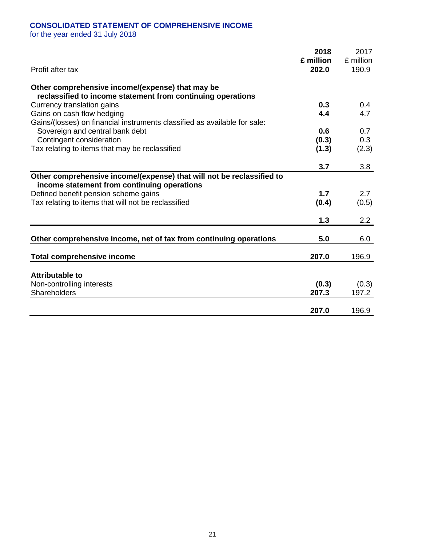## **CONSOLIDATED STATEMENT OF COMPREHENSIVE INCOME**

for the year ended 31 July 2018

|                                                                                                                 | 2018      | 2017      |
|-----------------------------------------------------------------------------------------------------------------|-----------|-----------|
|                                                                                                                 | £ million | £ million |
| Profit after tax                                                                                                | 202.0     | 190.9     |
|                                                                                                                 |           |           |
| Other comprehensive income/(expense) that may be<br>reclassified to income statement from continuing operations |           |           |
| Currency translation gains                                                                                      | 0.3       | 0.4       |
| Gains on cash flow hedging                                                                                      | 4.4       | 4.7       |
| Gains/(losses) on financial instruments classified as available for sale:                                       |           |           |
| Sovereign and central bank debt                                                                                 | 0.6       | 0.7       |
| Contingent consideration                                                                                        | (0.3)     | 0.3       |
| Tax relating to items that may be reclassified                                                                  | (1.3)     | (2.3)     |
|                                                                                                                 |           |           |
|                                                                                                                 | 3.7       | 3.8       |
| Other comprehensive income/(expense) that will not be reclassified to                                           |           |           |
| income statement from continuing operations                                                                     |           |           |
| Defined benefit pension scheme gains                                                                            | 1.7       | 2.7       |
| Tax relating to items that will not be reclassified                                                             | (0.4)     | (0.5)     |
|                                                                                                                 |           |           |
|                                                                                                                 | 1.3       | 2.2       |
| Other comprehensive income, net of tax from continuing operations                                               | 5.0       | 6.0       |
|                                                                                                                 |           |           |
| <b>Total comprehensive income</b>                                                                               | 207.0     | 196.9     |
|                                                                                                                 |           |           |
| <b>Attributable to</b>                                                                                          |           |           |
| Non-controlling interests                                                                                       | (0.3)     | (0.3)     |
| Shareholders                                                                                                    | 207.3     | 197.2     |
|                                                                                                                 |           |           |
|                                                                                                                 | 207.0     | 196.9     |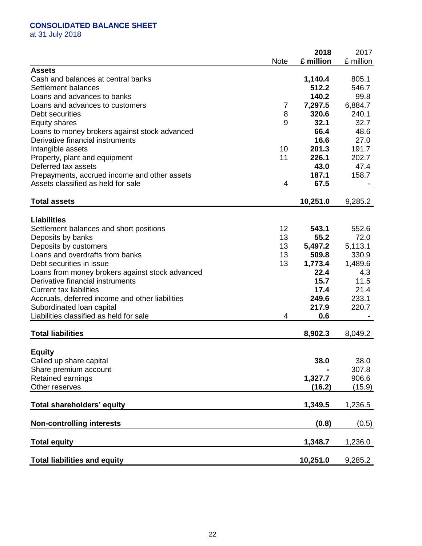## **CONSOLIDATED BALANCE SHEET**

at 31 July 2018

|                                                  |                 | 2018      | 2017      |
|--------------------------------------------------|-----------------|-----------|-----------|
|                                                  | <b>Note</b>     | £ million | £ million |
| <b>Assets</b>                                    |                 |           |           |
| Cash and balances at central banks               |                 | 1,140.4   | 805.1     |
| Settlement balances                              |                 | 512.2     | 546.7     |
| Loans and advances to banks                      |                 | 140.2     | 99.8      |
| Loans and advances to customers                  | 7               | 7,297.5   | 6,884.7   |
| Debt securities                                  | 8               | 320.6     | 240.1     |
| <b>Equity shares</b>                             | 9               | 32.1      | 32.7      |
| Loans to money brokers against stock advanced    |                 | 66.4      | 48.6      |
| Derivative financial instruments                 |                 | 16.6      | 27.0      |
| Intangible assets                                | 10              | 201.3     | 191.7     |
| Property, plant and equipment                    | 11              | 226.1     | 202.7     |
| Deferred tax assets                              |                 | 43.0      | 47.4      |
| Prepayments, accrued income and other assets     |                 | 187.1     | 158.7     |
| Assets classified as held for sale               | 4               | 67.5      |           |
|                                                  |                 |           |           |
| <b>Total assets</b>                              |                 | 10,251.0  | 9,285.2   |
| <b>Liabilities</b>                               |                 |           |           |
| Settlement balances and short positions          | 12 <sup>2</sup> | 543.1     | 552.6     |
| Deposits by banks                                | 13              | 55.2      | 72.0      |
| Deposits by customers                            | 13              | 5,497.2   | 5,113.1   |
| Loans and overdrafts from banks                  | 13              | 509.8     | 330.9     |
| Debt securities in issue                         | 13              | 1,773.4   | 1,489.6   |
| Loans from money brokers against stock advanced  |                 | 22.4      | 4.3       |
| Derivative financial instruments                 |                 | 15.7      | 11.5      |
| <b>Current tax liabilities</b>                   |                 | 17.4      | 21.4      |
| Accruals, deferred income and other liabilities  |                 | 249.6     | 233.1     |
| Subordinated loan capital                        |                 | 217.9     | 220.7     |
| Liabilities classified as held for sale          | 4               | 0.6       |           |
|                                                  |                 |           |           |
| <b>Total liabilities</b>                         |                 | 8,902.3   | 8,049.2   |
|                                                  |                 |           |           |
| <b>Equity</b>                                    |                 | 38.0      | 38.0      |
| Called up share capital<br>Share premium account |                 |           | 307.8     |
|                                                  |                 | 1,327.7   | 906.6     |
| Retained earnings<br>Other reserves              |                 |           |           |
|                                                  |                 | (16.2)    | (15.9)    |
| Total shareholders' equity                       |                 | 1,349.5   | 1,236.5   |
|                                                  |                 |           |           |
| <b>Non-controlling interests</b>                 |                 | (0.8)     | (0.5)     |
| <b>Total equity</b>                              |                 | 1,348.7   | 1,236.0   |
| <b>Total liabilities and equity</b>              |                 | 10,251.0  | 9,285.2   |
|                                                  |                 |           |           |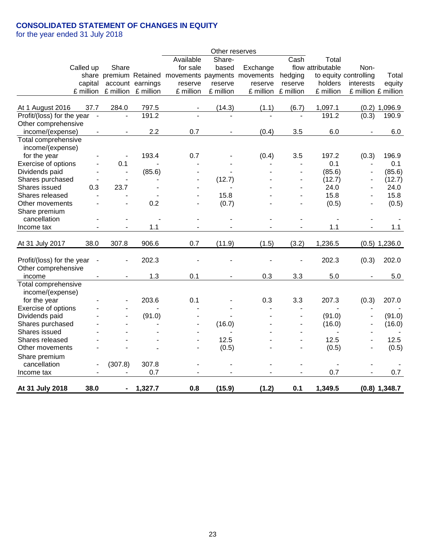## **CONSOLIDATED STATEMENT OF CHANGES IN EQUITY**

for the year ended 31 July 2018

|                            |                          |                |                     |                                                     | Other reserves |           |                          |                          |                       |                 |
|----------------------------|--------------------------|----------------|---------------------|-----------------------------------------------------|----------------|-----------|--------------------------|--------------------------|-----------------------|-----------------|
|                            |                          |                |                     | Available                                           | Share-         |           | Cash                     | Total                    |                       |                 |
| Called up                  |                          | Share          |                     | for sale                                            | based          | Exchange  |                          | flow attributable        | Non-                  |                 |
|                            |                          |                |                     | share premium Retained movements payments movements |                |           | hedging                  |                          | to equity controlling | Total           |
|                            | capital                  |                | account earnings    | reserve                                             | reserve        | reserve   | reserve                  | holders                  | interests             | equity          |
|                            | £ million                |                | £ million £ million | £ million                                           | £ million      | £ million | £ million                | £ million                | £ million £ million   |                 |
|                            |                          |                |                     |                                                     |                |           |                          |                          |                       |                 |
| At 1 August 2016           | 37.7                     | 284.0          | 797.5               |                                                     | (14.3)         | (1.1)     | (6.7)                    | 1,097.1                  |                       | $(0.2)$ 1,096.9 |
| Profit/(loss) for the year | $\sim$                   | $\blacksquare$ | 191.2               |                                                     | ÷,             |           | $\blacksquare$           | 191.2                    | (0.3)                 | 190.9           |
| Other comprehensive        |                          |                |                     |                                                     |                |           |                          |                          |                       |                 |
| income/(expense)           |                          |                | 2.2                 | 0.7                                                 | $\blacksquare$ | (0.4)     | 3.5                      | 6.0                      |                       | 6.0             |
| Total comprehensive        |                          |                |                     |                                                     |                |           |                          |                          |                       |                 |
| income/(expense)           |                          |                |                     |                                                     |                |           |                          |                          |                       |                 |
| for the year               |                          | $\blacksquare$ | 193.4               | 0.7                                                 |                | (0.4)     | 3.5                      | 197.2                    | (0.3)                 | 196.9           |
| Exercise of options        |                          | 0.1            |                     |                                                     |                |           |                          | 0.1                      | ۰                     | 0.1             |
| Dividends paid             |                          | $\blacksquare$ | (85.6)              |                                                     |                |           | $\blacksquare$           | (85.6)                   |                       | (85.6)          |
| Shares purchased           |                          | $\blacksquare$ |                     | $\blacksquare$                                      | (12.7)         |           | $\blacksquare$           | (12.7)                   | $\blacksquare$        | (12.7)          |
| Shares issued              | 0.3                      | 23.7           |                     |                                                     |                |           |                          | 24.0                     |                       | 24.0            |
| Shares released            |                          |                |                     |                                                     | 15.8           |           |                          | 15.8                     |                       | 15.8            |
| Other movements            |                          |                | 0.2                 |                                                     | (0.7)          |           | $\blacksquare$           | (0.5)                    |                       | (0.5)           |
| Share premium              |                          |                |                     |                                                     |                |           |                          |                          |                       |                 |
| cancellation               |                          |                | $\blacksquare$      | $\blacksquare$                                      |                |           |                          |                          |                       |                 |
| Income tax                 |                          | $\blacksquare$ | 1.1                 |                                                     |                |           |                          | 1.1                      |                       | 1.1             |
|                            |                          |                |                     |                                                     |                |           |                          |                          |                       |                 |
| At 31 July 2017            | 38.0                     | 307.8          | 906.6               | 0.7                                                 | (11.9)         | (1.5)     | (3.2)                    | 1,236.5                  |                       | $(0.5)$ 1,236.0 |
|                            |                          |                |                     |                                                     |                |           |                          |                          |                       |                 |
| Profit/(loss) for the year | $\overline{\phantom{a}}$ |                | 202.3               |                                                     |                |           |                          | 202.3                    | (0.3)                 | 202.0           |
| Other comprehensive        |                          |                |                     |                                                     |                |           |                          |                          |                       |                 |
| income                     |                          |                | 1.3                 | 0.1                                                 | ۰              | 0.3       | 3.3                      | 5.0                      |                       | 5.0             |
| Total comprehensive        |                          |                |                     |                                                     |                |           |                          |                          |                       |                 |
| income/(expense)           |                          |                |                     |                                                     |                |           |                          |                          |                       |                 |
| for the year               |                          |                | 203.6               | 0.1                                                 |                | 0.3       | 3.3                      | 207.3                    | (0.3)                 | 207.0           |
| Exercise of options        |                          |                |                     |                                                     |                |           |                          |                          |                       |                 |
| Dividends paid             |                          |                | (91.0)              |                                                     |                |           |                          | (91.0)                   |                       | (91.0)          |
| Shares purchased           |                          |                |                     |                                                     | (16.0)         |           |                          | (16.0)                   |                       | (16.0)          |
| Shares issued              |                          |                |                     |                                                     |                |           | ٠                        |                          |                       |                 |
| Shares released            |                          |                |                     |                                                     | 12.5           |           | ٠                        | 12.5                     |                       | 12.5            |
| Other movements            |                          |                |                     |                                                     | (0.5)          |           |                          | (0.5)                    |                       | (0.5)           |
| Share premium              |                          |                |                     |                                                     |                |           |                          |                          |                       |                 |
| cancellation               |                          | (307.8)        | 307.8               |                                                     |                |           | $\overline{\phantom{0}}$ | $\overline{\phantom{a}}$ |                       |                 |
| Income tax                 |                          |                | 0.7                 |                                                     |                |           |                          | 0.7                      |                       | 0.7             |
|                            |                          |                |                     |                                                     |                |           |                          |                          |                       |                 |
| At 31 July 2018            | 38.0                     | $\blacksquare$ | 1,327.7             | 0.8                                                 | (15.9)         | (1.2)     | 0.1                      | 1,349.5                  |                       | $(0.8)$ 1,348.7 |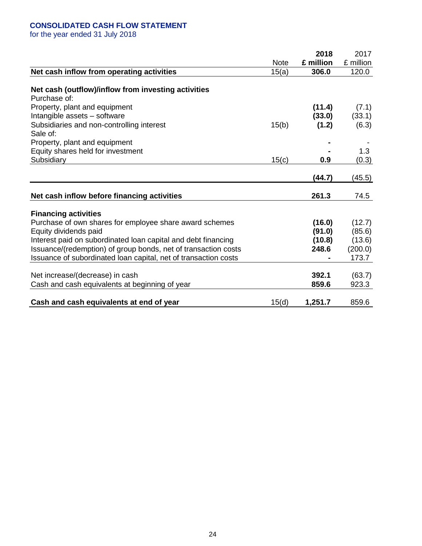## **CONSOLIDATED CASH FLOW STATEMENT**

for the year ended 31 July 2018

|                                                                 |             | 2018      | 2017      |
|-----------------------------------------------------------------|-------------|-----------|-----------|
|                                                                 | <b>Note</b> | £ million | £ million |
| Net cash inflow from operating activities                       | 15(a)       | 306.0     | 120.0     |
| Net cash (outflow)/inflow from investing activities             |             |           |           |
| Purchase of:                                                    |             |           |           |
| Property, plant and equipment                                   |             | (11.4)    | (7.1)     |
| Intangible assets - software                                    |             | (33.0)    | (33.1)    |
| Subsidiaries and non-controlling interest                       | 15(b)       | (1.2)     | (6.3)     |
| Sale of:                                                        |             |           |           |
| Property, plant and equipment                                   |             |           |           |
| Equity shares held for investment                               |             |           | 1.3       |
| Subsidiary                                                      | 15(c)       | 0.9       | (0.3)     |
|                                                                 |             |           |           |
|                                                                 |             | (44.7)    | (45.5)    |
|                                                                 |             |           |           |
| Net cash inflow before financing activities                     |             | 261.3     | 74.5      |
| <b>Financing activities</b>                                     |             |           |           |
| Purchase of own shares for employee share award schemes         |             | (16.0)    | (12.7)    |
| Equity dividends paid                                           |             | (91.0)    | (85.6)    |
| Interest paid on subordinated loan capital and debt financing   |             | (10.8)    | (13.6)    |
| Issuance/(redemption) of group bonds, net of transaction costs  |             | 248.6     | (200.0)   |
| Issuance of subordinated loan capital, net of transaction costs |             |           | 173.7     |
|                                                                 |             |           |           |
| Net increase/(decrease) in cash                                 |             | 392.1     | (63.7)    |
| Cash and cash equivalents at beginning of year                  |             | 859.6     | 923.3     |
|                                                                 |             |           |           |
| Cash and cash equivalents at end of year                        | 15(d)       | 1,251.7   | 859.6     |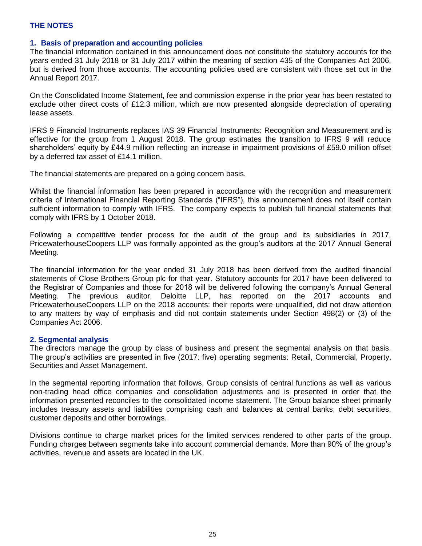#### **1. Basis of preparation and accounting policies**

The financial information contained in this announcement does not constitute the statutory accounts for the years ended 31 July 2018 or 31 July 2017 within the meaning of section 435 of the Companies Act 2006, but is derived from those accounts. The accounting policies used are consistent with those set out in the Annual Report 2017.

On the Consolidated Income Statement, fee and commission expense in the prior year has been restated to exclude other direct costs of £12.3 million, which are now presented alongside depreciation of operating lease assets.

IFRS 9 Financial Instruments replaces IAS 39 Financial Instruments: Recognition and Measurement and is effective for the group from 1 August 2018. The group estimates the transition to IFRS 9 will reduce shareholders' equity by £44.9 million reflecting an increase in impairment provisions of £59.0 million offset by a deferred tax asset of £14.1 million.

The financial statements are prepared on a going concern basis.

Whilst the financial information has been prepared in accordance with the recognition and measurement criteria of International Financial Reporting Standards ("IFRS"), this announcement does not itself contain sufficient information to comply with IFRS. The company expects to publish full financial statements that comply with IFRS by 1 October 2018.

Following a competitive tender process for the audit of the group and its subsidiaries in 2017, PricewaterhouseCoopers LLP was formally appointed as the group's auditors at the 2017 Annual General Meeting.

The financial information for the year ended 31 July 2018 has been derived from the audited financial statements of Close Brothers Group plc for that year. Statutory accounts for 2017 have been delivered to the Registrar of Companies and those for 2018 will be delivered following the company's Annual General Meeting. The previous auditor, Deloitte LLP, has reported on the 2017 accounts and PricewaterhouseCoopers LLP on the 2018 accounts: their reports were unqualified, did not draw attention to any matters by way of emphasis and did not contain statements under Section 498(2) or (3) of the Companies Act 2006.

#### **2. Segmental analysis**

The directors manage the group by class of business and present the segmental analysis on that basis. The group's activities are presented in five (2017: five) operating segments: Retail, Commercial, Property, Securities and Asset Management.

In the segmental reporting information that follows, Group consists of central functions as well as various non-trading head office companies and consolidation adjustments and is presented in order that the information presented reconciles to the consolidated income statement. The Group balance sheet primarily includes treasury assets and liabilities comprising cash and balances at central banks, debt securities, customer deposits and other borrowings.

Divisions continue to charge market prices for the limited services rendered to other parts of the group. Funding charges between segments take into account commercial demands. More than 90% of the group's activities, revenue and assets are located in the UK.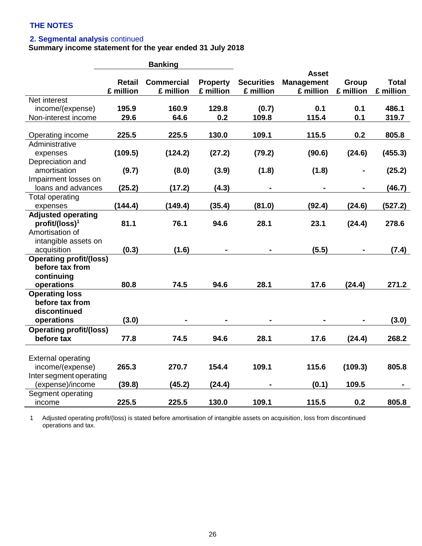#### **2. Segmental analysis** continued

#### **Summary income statement for the year ended 31 July 2018**

|                                |               | <b>Banking</b>    |                 |                   |                   |           |              |
|--------------------------------|---------------|-------------------|-----------------|-------------------|-------------------|-----------|--------------|
|                                |               |                   |                 |                   | <b>Asset</b>      |           |              |
|                                | <b>Retail</b> | <b>Commercial</b> | <b>Property</b> | <b>Securities</b> | <b>Management</b> | Group     | <b>Total</b> |
|                                | £ million     | £ million         | £ million       | £ million         | £ million         | £ million | £ million    |
| Net interest                   |               |                   |                 |                   |                   |           |              |
| income/(expense)               | 195.9         | 160.9             | 129.8           | (0.7)             | 0.1               | 0.1       | 486.1        |
| Non-interest income            | 29.6          | 64.6              | 0.2             | 109.8             | 115.4             | 0.1       | 319.7        |
|                                |               |                   |                 |                   |                   |           |              |
| Operating income               | 225.5         | 225.5             | 130.0           | 109.1             | 115.5             | 0.2       | 805.8        |
| Administrative                 |               |                   |                 |                   |                   |           |              |
| expenses                       | (109.5)       | (124.2)           | (27.2)          | (79.2)            | (90.6)            | (24.6)    | (455.3)      |
| Depreciation and               |               |                   |                 |                   |                   |           |              |
| amortisation                   | (9.7)         | (8.0)             | (3.9)           | (1.8)             | (1.8)             |           | (25.2)       |
| Impairment losses on           |               |                   |                 |                   |                   |           |              |
| loans and advances             | (25.2)        | (17.2)            | (4.3)           |                   |                   |           | (46.7)       |
| <b>Total operating</b>         |               |                   |                 |                   |                   |           |              |
| expenses                       | (144.4)       | (149.4)           | (35.4)          | (81.0)            | (92.4)            | (24.6)    | (527.2)      |
| <b>Adjusted operating</b>      |               |                   |                 |                   |                   |           |              |
| profit/(loss) <sup>1</sup>     | 81.1          | 76.1              | 94.6            | 28.1              | 23.1              | (24.4)    | 278.6        |
| Amortisation of                |               |                   |                 |                   |                   |           |              |
| intangible assets on           |               |                   |                 |                   |                   |           |              |
| acquisition                    | (0.3)         | (1.6)             |                 |                   | (5.5)             |           | (7.4)        |
| <b>Operating profit/(loss)</b> |               |                   |                 |                   |                   |           |              |
| before tax from                |               |                   |                 |                   |                   |           |              |
| continuing                     |               |                   |                 |                   |                   |           |              |
| operations                     | 80.8          | 74.5              | 94.6            | 28.1              | 17.6              | (24.4)    | 271.2        |
| <b>Operating loss</b>          |               |                   |                 |                   |                   |           |              |
| before tax from                |               |                   |                 |                   |                   |           |              |
| discontinued                   |               |                   |                 |                   |                   |           |              |
| operations                     | (3.0)         |                   |                 |                   |                   |           | (3.0)        |
| <b>Operating profit/(loss)</b> |               |                   |                 |                   |                   |           |              |
| before tax                     | 77.8          | 74.5              | 94.6            | 28.1              | 17.6              | (24.4)    | 268.2        |
|                                |               |                   |                 |                   |                   |           |              |
| <b>External operating</b>      |               |                   |                 |                   |                   |           |              |
| income/(expense)               | 265.3         | 270.7             | 154.4           | 109.1             | 115.6             | (109.3)   | 805.8        |
| Inter segment operating        |               |                   |                 |                   |                   |           |              |
| (expense)/income               | (39.8)        | (45.2)            | (24.4)          |                   | (0.1)             | 109.5     |              |
| Segment operating              |               |                   |                 |                   |                   |           |              |
| income                         | 225.5         | 225.5             | 130.0           | 109.1             | 115.5             | 0.2       | 805.8        |
|                                |               |                   |                 |                   |                   |           |              |

1 Adjusted operating profit/(loss) is stated before amortisation of intangible assets on acquisition, loss from discontinued operations and tax.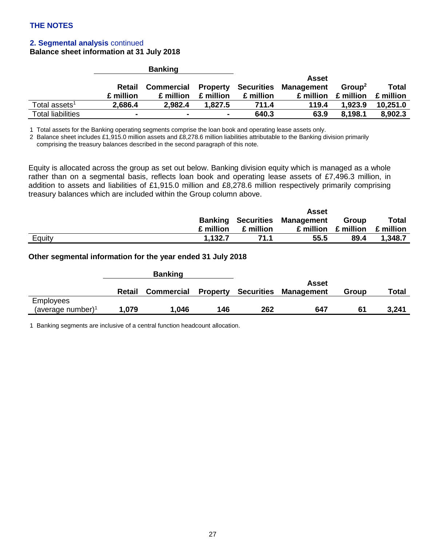## **2. Segmental analysis** continued

**Balance sheet information at 31 July 2018**

|                           |                | <b>Banking</b> |           |           |                                                  |                    |              |
|---------------------------|----------------|----------------|-----------|-----------|--------------------------------------------------|--------------------|--------------|
|                           |                |                |           |           | Asset                                            |                    |              |
|                           | Retail         |                |           |           | <b>Commercial Property Securities Management</b> | Group <sup>2</sup> | <b>Total</b> |
|                           | £ million      | £ million      | £ million | £ million | £ million                                        | £ million          | £ million    |
| Total assets <sup>1</sup> | 2,686.4        | 2.982.4        | 1.827.5   | 711.4     | 119.4                                            | 1.923.9            | 10.251.0     |
| <b>Total liabilities</b>  | $\blacksquare$ | $\blacksquare$ | -         | 640.3     | 63.9                                             | 8,198.1            | 8,902.3      |

1 Total assets for the Banking operating segments comprise the loan book and operating lease assets only.

2 Balance sheet includes £1,915.0 million assets and £8,278.6 million liabilities attributable to the Banking division primarily comprising the treasury balances described in the second paragraph of this note.

Equity is allocated across the group as set out below. Banking division equity which is managed as a whole rather than on a segmental basis, reflects loan book and operating lease assets of £7,496.3 million, in addition to assets and liabilities of £1,915.0 million and £8,278.6 million respectively primarily comprising treasury balances which are included within the Group column above.

|        |           |           | Asset                                |           |              |
|--------|-----------|-----------|--------------------------------------|-----------|--------------|
|        |           |           | <b>Banking Securities Management</b> | Group     | <b>Total</b> |
|        | £ million | £ million | £ million                            | £ million | £ million    |
| Equity | 1,132.7   | 71.1      | 55.5                                 | 89.4      | 1,348.7      |

#### **Other segmental information for the year ended 31 July 2018**

|                               |        | <b>Banking</b>    |                 |            |                   |       |       |
|-------------------------------|--------|-------------------|-----------------|------------|-------------------|-------|-------|
|                               |        |                   |                 |            | Asset             |       |       |
|                               | Retail | <b>Commercial</b> | <b>Property</b> | Securities | <b>Management</b> | Group | Total |
| Employees                     |        |                   |                 |            |                   |       |       |
| (average number) <sup>1</sup> | 1,079  | 1.046             | 146             | 262        | 647               | 61    | 3,241 |

1 Banking segments are inclusive of a central function headcount allocation.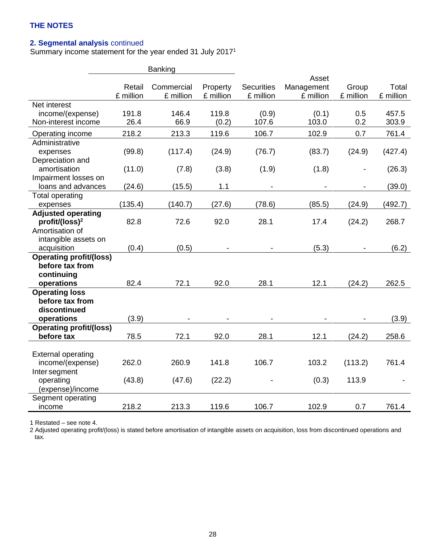## **2. Segmental analysis** continued

Summary income statement for the year ended 31 July 2017<sup>1</sup>

|                                       | <b>Banking</b> |            |           |                   |            |           |           |
|---------------------------------------|----------------|------------|-----------|-------------------|------------|-----------|-----------|
|                                       |                |            |           |                   | Asset      |           |           |
|                                       | Retail         | Commercial | Property  | <b>Securities</b> | Management | Group     | Total     |
| Net interest                          | £ million      | £ million  | £ million | £ million         | £ million  | £ million | £ million |
| income/(expense)                      | 191.8          | 146.4      | 119.8     | (0.9)             | (0.1)      | 0.5       | 457.5     |
| Non-interest income                   | 26.4           | 66.9       | (0.2)     | 107.6             | 103.0      | 0.2       | 303.9     |
| Operating income                      | 218.2          | 213.3      | 119.6     | 106.7             | 102.9      | 0.7       | 761.4     |
| Administrative                        |                |            |           |                   |            |           |           |
| expenses                              | (99.8)         | (117.4)    | (24.9)    | (76.7)            | (83.7)     | (24.9)    | (427.4)   |
| Depreciation and                      |                |            |           |                   |            |           |           |
| amortisation                          | (11.0)         | (7.8)      | (3.8)     | (1.9)             | (1.8)      |           | (26.3)    |
| Impairment losses on                  |                |            |           |                   |            |           |           |
| loans and advances                    | (24.6)         | (15.5)     | 1.1       |                   |            |           | (39.0)    |
| <b>Total operating</b>                |                |            |           |                   |            |           |           |
| expenses<br><b>Adjusted operating</b> | (135.4)        | (140.7)    | (27.6)    | (78.6)            | (85.5)     | (24.9)    | (492.7)   |
| profit/(loss) <sup>2</sup>            | 82.8           | 72.6       | 92.0      | 28.1              | 17.4       | (24.2)    | 268.7     |
| Amortisation of                       |                |            |           |                   |            |           |           |
| intangible assets on                  |                |            |           |                   |            |           |           |
| acquisition                           | (0.4)          | (0.5)      |           |                   | (5.3)      |           | (6.2)     |
| <b>Operating profit/(loss)</b>        |                |            |           |                   |            |           |           |
| before tax from                       |                |            |           |                   |            |           |           |
| continuing                            |                |            |           |                   |            |           |           |
| operations                            | 82.4           | 72.1       | 92.0      | 28.1              | 12.1       | (24.2)    | 262.5     |
| <b>Operating loss</b>                 |                |            |           |                   |            |           |           |
| before tax from                       |                |            |           |                   |            |           |           |
| discontinued<br>operations            | (3.9)          |            |           |                   |            |           | (3.9)     |
| <b>Operating profit/(loss)</b>        |                |            |           |                   |            |           |           |
| before tax                            | 78.5           | 72.1       | 92.0      | 28.1              | 12.1       | (24.2)    | 258.6     |
|                                       |                |            |           |                   |            |           |           |
| <b>External operating</b>             |                |            |           |                   |            |           |           |
| income/(expense)                      | 262.0          | 260.9      | 141.8     | 106.7             | 103.2      | (113.2)   | 761.4     |
| Inter segment                         |                |            |           |                   |            |           |           |
| operating                             | (43.8)         | (47.6)     | (22.2)    |                   | (0.3)      | 113.9     |           |
| (expense)/income                      |                |            |           |                   |            |           |           |
| Segment operating                     |                |            |           |                   |            |           |           |
| income                                | 218.2          | 213.3      | 119.6     | 106.7             | 102.9      | 0.7       | 761.4     |

1 Restated – see note 4.

2 Adjusted operating profit/(loss) is stated before amortisation of intangible assets on acquisition, loss from discontinued operations and tax.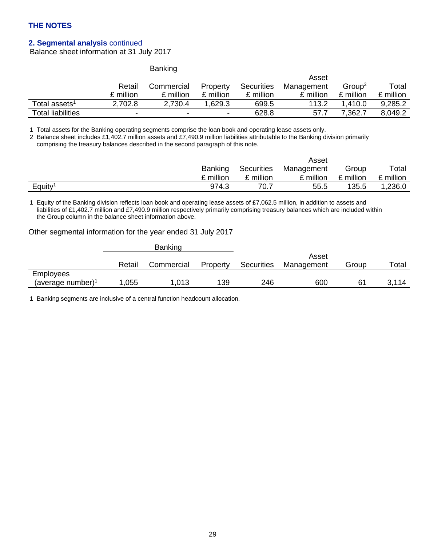## **2. Segmental analysis** continued

Balance sheet information at 31 July 2017

|                           |           | <b>Banking</b>           |           |            |            |                    |           |
|---------------------------|-----------|--------------------------|-----------|------------|------------|--------------------|-----------|
|                           |           |                          |           |            | Asset      |                    |           |
|                           | Retail    | Commercial               | Property  | Securities | Management | Group <sup>2</sup> | Total     |
|                           | £ million | £ million                | £ million | £ million  | £ million  | £ million          | £ million |
| Total assets <sup>1</sup> | 2,702.8   | 2,730.4                  | .629.3    | 699.5      | 113.2      | . 410.0            | 9,285.2   |
| <b>Total liabilities</b>  | -         | $\overline{\phantom{0}}$ | -         | 628.8      | 57.7       | 7.362.7            | 8.049.2   |

1 Total assets for the Banking operating segments comprise the loan book and operating lease assets only.

2 Balance sheet includes £1,402.7 million assets and £7,490.9 million liabilities attributable to the Banking division primarily comprising the treasury balances described in the second paragraph of this note.

|                     |                |            | Asset      |           |           |
|---------------------|----------------|------------|------------|-----------|-----------|
|                     | <b>Banking</b> | Securities | Management | Group     | Total     |
|                     | £ million      | £ million  | £ million  | £ million | £ million |
| Equity <sup>1</sup> | 974.3          | 70.7       | 55.5       | 135.5     | 1,236.0   |

1 Equity of the Banking division reflects loan book and operating lease assets of £7,062.5 million, in addition to assets and liabilities of £1,402.7 million and £7,490.9 million respectively primarily comprising treasury balances which are included within the Group column in the balance sheet information above.

#### Other segmental information for the year ended 31 July 2017

|                               |        | Banking    |          |            |            |       |       |
|-------------------------------|--------|------------|----------|------------|------------|-------|-------|
|                               |        |            |          |            | Asset      |       |       |
|                               | Retail | Commercial | Property | Securities | Management | Group | Total |
| <b>Employees</b>              |        |            |          |            |            |       |       |
| (average number) <sup>1</sup> | .055   | 1,013      | 139      | 246        | 600        |       | 3,114 |

1 Banking segments are inclusive of a central function headcount allocation.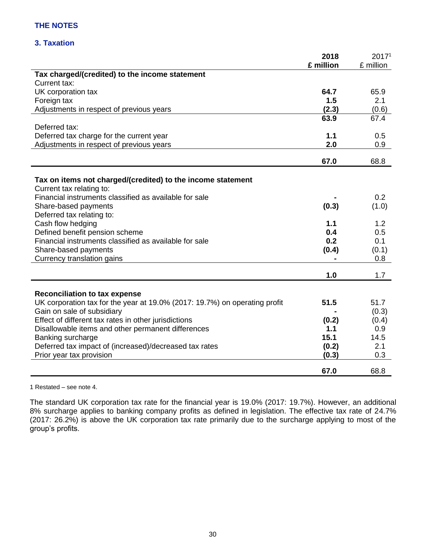## **3. Taxation**

|                                                                            | 2018      | 2017 <sup>1</sup> |
|----------------------------------------------------------------------------|-----------|-------------------|
|                                                                            | £ million | £ million         |
| Tax charged/(credited) to the income statement                             |           |                   |
| Current tax:                                                               |           |                   |
| UK corporation tax                                                         | 64.7      | 65.9              |
| Foreign tax                                                                | 1.5       | 2.1               |
| Adjustments in respect of previous years                                   | (2.3)     | (0.6)             |
| Deferred tax:                                                              | 63.9      | 67.4              |
| Deferred tax charge for the current year                                   | 1.1       | 0.5               |
| Adjustments in respect of previous years                                   | 2.0       | 0.9               |
|                                                                            |           |                   |
|                                                                            | 67.0      | 68.8              |
| Tax on items not charged/(credited) to the income statement                |           |                   |
| Current tax relating to:                                                   |           |                   |
| Financial instruments classified as available for sale                     |           | 0.2               |
| Share-based payments                                                       | (0.3)     | (1.0)             |
| Deferred tax relating to:                                                  |           |                   |
| Cash flow hedging                                                          | 1.1       | 1.2               |
| Defined benefit pension scheme                                             | 0.4       | 0.5               |
| Financial instruments classified as available for sale                     | 0.2       | 0.1               |
| Share-based payments                                                       | (0.4)     | (0.1)             |
| Currency translation gains                                                 |           | 0.8               |
|                                                                            | 1.0       | 1.7               |
|                                                                            |           |                   |
| <b>Reconciliation to tax expense</b>                                       |           |                   |
| UK corporation tax for the year at 19.0% (2017: 19.7%) on operating profit | 51.5      | 51.7              |
| Gain on sale of subsidiary                                                 |           | (0.3)             |
| Effect of different tax rates in other jurisdictions                       | (0.2)     | (0.4)             |
| Disallowable items and other permanent differences                         | 1.1       | 0.9               |
| Banking surcharge                                                          | 15.1      | 14.5              |
| Deferred tax impact of (increased)/decreased tax rates                     | (0.2)     | 2.1               |
| Prior year tax provision                                                   | (0.3)     | 0.3               |
|                                                                            | 67.0      | 68.8              |

1 Restated – see note 4.

The standard UK corporation tax rate for the financial year is 19.0% (2017: 19.7%). However, an additional 8% surcharge applies to banking company profits as defined in legislation. The effective tax rate of 24.7% (2017: 26.2%) is above the UK corporation tax rate primarily due to the surcharge applying to most of the group's profits.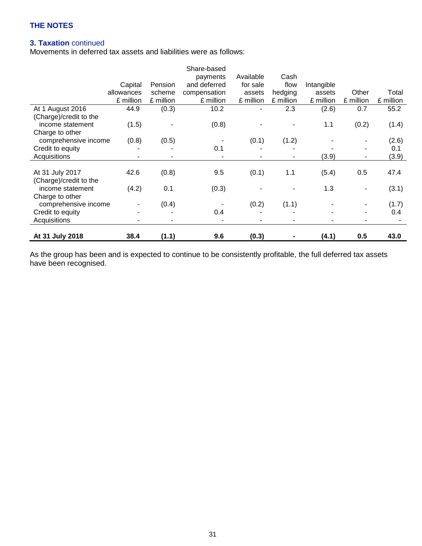## **3. Taxation** continued

Movements in deferred tax assets and liabilities were as follows:

|                        |                          |                | Share-based  |           |           |            |                |           |
|------------------------|--------------------------|----------------|--------------|-----------|-----------|------------|----------------|-----------|
|                        |                          |                | payments     | Available | Cash      |            |                |           |
|                        | Capital                  | Pension        | and deferred | for sale  | flow      | Intangible |                |           |
|                        | allowances               | scheme         | compensation | assets    | hedging   | assets     | Other          | Total     |
|                        | £ million                | £ million      | £ million    | £ million | £ million | £ million  | £ million      | £ million |
| At 1 August 2016       | 44.9                     | (0.3)          | 10.2         |           | 2.3       | (2.6)      | 0.7            | 55.2      |
| (Charge)/credit to the |                          |                |              |           |           |            |                |           |
| income statement       | (1.5)                    |                | (0.8)        |           |           | 1.1        | (0.2)          | (1.4)     |
| Charge to other        |                          |                |              |           |           |            |                |           |
| comprehensive income   | (0.8)                    | (0.5)          |              | (0.1)     | (1.2)     |            |                | (2.6)     |
| Credit to equity       |                          |                | 0.1          |           |           |            |                | 0.1       |
| Acquisitions           |                          |                |              |           | ۰         | (3.9)      | $\blacksquare$ | (3.9)     |
|                        |                          |                |              |           |           |            |                |           |
| At 31 July 2017        | 42.6                     | (0.8)          | 9.5          | (0.1)     | 1.1       | (5.4)      | 0.5            | 47.4      |
| (Charge)/credit to the |                          |                |              |           |           |            |                |           |
| income statement       | (4.2)                    | 0.1            | (0.3)        |           |           | 1.3        |                | (3.1)     |
| Charge to other        |                          |                |              |           |           |            |                |           |
| comprehensive income   | $\overline{\phantom{a}}$ | (0.4)          |              | (0.2)     | (1.1)     |            |                | (1.7)     |
| Credit to equity       |                          |                | 0.4          |           |           |            |                | 0.4       |
| Acquisitions           |                          | $\blacksquare$ | ۰            |           | ۰         |            |                |           |
|                        |                          |                |              |           |           |            |                |           |
| At 31 July 2018        | 38.4                     | (1.1)          | 9.6          | (0.3)     |           | (4.1)      | 0.5            | 43.0      |

As the group has been and is expected to continue to be consistently profitable, the full deferred tax assets have been recognised.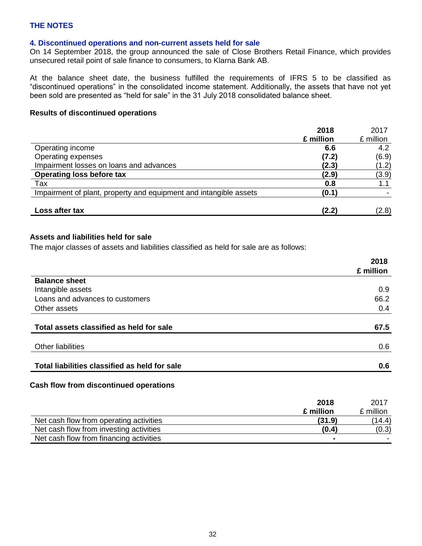### **4. Discontinued operations and non-current assets held for sale**

On 14 September 2018, the group announced the sale of Close Brothers Retail Finance, which provides unsecured retail point of sale finance to consumers, to Klarna Bank AB.

At the balance sheet date, the business fulfilled the requirements of IFRS 5 to be classified as "discontinued operations" in the consolidated income statement. Additionally, the assets that have not yet been sold are presented as "held for sale" in the 31 July 2018 consolidated balance sheet.

#### **Results of discontinued operations**

|                                                                   | 2018      | 2017      |
|-------------------------------------------------------------------|-----------|-----------|
|                                                                   | £ million | £ million |
| Operating income                                                  | 6.6       | 4.2       |
| Operating expenses                                                | (7.2)     | (6.9)     |
| Impairment losses on loans and advances                           | (2.3)     | (1.2)     |
| <b>Operating loss before tax</b>                                  | (2.9)     | (3.9)     |
| Tax                                                               | 0.8       |           |
| Impairment of plant, property and equipment and intangible assets | (0.1)     |           |
| Loss after tax                                                    | (2.2)     | (2.8)     |

## **Assets and liabilities held for sale**

The major classes of assets and liabilities classified as held for sale are as follows:

|                                               | 2018      |
|-----------------------------------------------|-----------|
|                                               | £ million |
| <b>Balance sheet</b>                          |           |
| Intangible assets                             | 0.9       |
| Loans and advances to customers               | 66.2      |
| Other assets                                  | 0.4       |
| Total assets classified as held for sale      | 67.5      |
| <b>Other liabilities</b>                      | 0.6       |
| Total liabilities classified as held for sale | 0.6       |

#### **Cash flow from discontinued operations**

|                                         | 2018           | 2017      |
|-----------------------------------------|----------------|-----------|
|                                         | £ million      | £ million |
| Net cash flow from operating activities | (31.9)         | (14.4)    |
| Net cash flow from investing activities | (0.4)          | (0.3)     |
| Net cash flow from financing activities | $\blacksquare$ |           |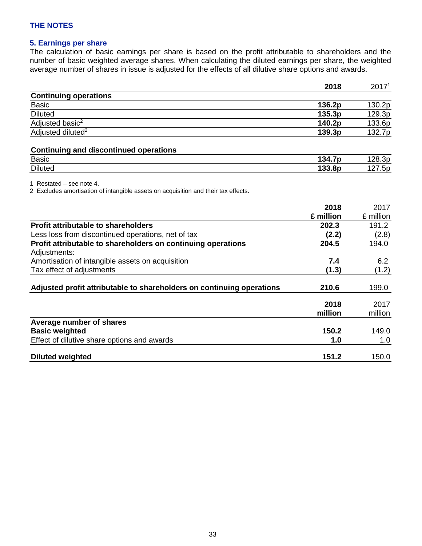### **5. Earnings per share**

The calculation of basic earnings per share is based on the profit attributable to shareholders and the number of basic weighted average shares. When calculating the diluted earnings per share, the weighted average number of shares in issue is adjusted for the effects of all dilutive share options and awards.

|                               | 2018   | 2017 <sup>1</sup> |
|-------------------------------|--------|-------------------|
| <b>Continuing operations</b>  |        |                   |
| <b>Basic</b>                  | 136.2p | 130.2p            |
| <b>Diluted</b>                | 135.3p | 129.3p            |
| Adjusted basic <sup>2</sup>   | 140.2p | 133.6p            |
| Adjusted diluted <sup>2</sup> | 139.3p | 132.7p            |
|                               |        |                   |

## **Continuing and discontinued operations**

| <b>Basic</b>   | .<br>7p<br>.34<br>– ∎. | oc<br>.<br>-<br>ں ں۔ |
|----------------|------------------------|----------------------|
| <b>Diluted</b> | 3.8p                   | .bp<br>$\epsilon$    |

1 Restated – see note 4.

2 Excludes amortisation of intangible assets on acquisition and their tax effects.

|                                                                       | 2018      | 2017      |
|-----------------------------------------------------------------------|-----------|-----------|
|                                                                       | £ million | £ million |
| <b>Profit attributable to shareholders</b>                            | 202.3     | 191.2     |
| Less loss from discontinued operations, net of tax                    | (2.2)     | (2.8)     |
| Profit attributable to shareholders on continuing operations          | 204.5     | 194.0     |
| Adjustments:                                                          |           |           |
| Amortisation of intangible assets on acquisition                      | 7.4       | 6.2       |
| Tax effect of adjustments                                             | (1.3)     | (1.2)     |
|                                                                       |           |           |
| Adjusted profit attributable to shareholders on continuing operations | 210.6     | 199.0     |
|                                                                       | 2018      | 2017      |
|                                                                       | million   | million   |
| Average number of shares                                              |           |           |
| <b>Basic weighted</b>                                                 | 150.2     | 149.0     |
| Effect of dilutive share options and awards                           | 1.0       | 1.0       |
| <b>Diluted weighted</b>                                               | 151.2     | 150.0     |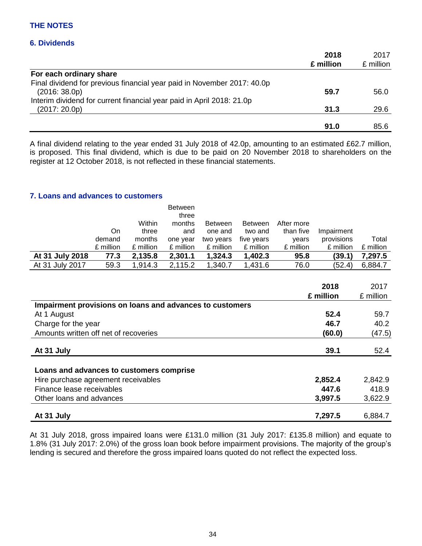### **6. Dividends**

|                                                                         | 2018      | 2017      |
|-------------------------------------------------------------------------|-----------|-----------|
|                                                                         | £ million | £ million |
| For each ordinary share                                                 |           |           |
| Final dividend for previous financial year paid in November 2017: 40.0p |           |           |
| (2016:38.0p)                                                            | 59.7      | 56.0      |
| Interim dividend for current financial year paid in April 2018: 21.0p   |           |           |
| (2017:20.0p)                                                            | 31.3      | 29.6      |
|                                                                         |           |           |
|                                                                         | 91.0      | 85.6      |

A final dividend relating to the year ended 31 July 2018 of 42.0p, amounting to an estimated £62.7 million, is proposed. This final dividend, which is due to be paid on 20 November 2018 to shareholders on the register at 12 October 2018, is not reflected in these financial statements.

#### **7. Loans and advances to customers**

|                 |           |           | <b>Between</b> |                |                |            |            |           |
|-----------------|-----------|-----------|----------------|----------------|----------------|------------|------------|-----------|
|                 |           |           | three          |                |                |            |            |           |
|                 |           | Within    | months         | <b>Between</b> | <b>Between</b> | After more |            |           |
|                 | On        | three     | and            | one and        | two and        | than five  | Impairment |           |
|                 | demand    | months    | one year       | two years      | five years     | vears      | provisions | Total     |
|                 | £ million | £ million | £ million      | £ million      | £ million      | £ million  | £ million  | £ million |
| At 31 July 2018 | 77.3      | 2,135.8   | 2,301.1        | 1,324.3        | 1,402.3        | 95.8       | (39.1)     | 7,297.5   |
| At 31 July 2017 | 59.3      | 1,914.3   | 2,115.2        | 1,340.7        | 1,431.6        | 76.0       | (52.4)     | 6,884.7   |

|                                                          | 2018      | 2017      |
|----------------------------------------------------------|-----------|-----------|
|                                                          | £ million | £ million |
| Impairment provisions on loans and advances to customers |           |           |
| At 1 August                                              | 52.4      | 59.7      |
| Charge for the year                                      | 46.7      | 40.2      |
| Amounts written off net of recoveries                    | (60.0)    | (47.5)    |
|                                                          |           |           |
| At 31 July                                               | 39.1      | 52.4      |
|                                                          |           |           |
| Loans and advances to customers comprise                 |           |           |
| Hire purchase agreement receivables                      | 2,852.4   | 2,842.9   |
| Finance lease receivables                                | 447.6     | 418.9     |
| Other loans and advances                                 | 3,997.5   | 3,622.9   |
| At 31 July                                               | 7,297.5   | 6,884.7   |

At 31 July 2018, gross impaired loans were £131.0 million (31 July 2017: £135.8 million) and equate to 1.8% (31 July 2017: 2.0%) of the gross loan book before impairment provisions. The majority of the group's lending is secured and therefore the gross impaired loans quoted do not reflect the expected loss.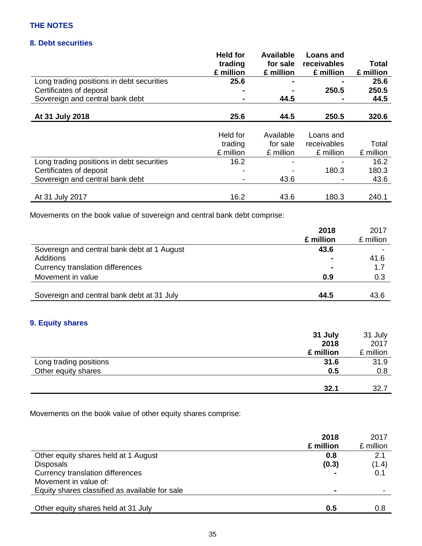## **8. Debt securities**

|                                           | <b>Held for</b><br>trading<br>£ million | <b>Available</b><br>for sale<br>£ million | <b>Loans and</b><br>receivables<br>£ million | Total<br>£ million |
|-------------------------------------------|-----------------------------------------|-------------------------------------------|----------------------------------------------|--------------------|
| Long trading positions in debt securities | 25.6                                    |                                           | $\blacksquare$                               | 25.6               |
| Certificates of deposit                   | $\blacksquare$                          | $\blacksquare$                            | 250.5                                        | 250.5              |
| Sovereign and central bank debt           |                                         | 44.5                                      | $\blacksquare$                               | 44.5               |
| At 31 July 2018                           | 25.6                                    | 44.5                                      | 250.5                                        | 320.6              |
|                                           | Held for                                | Available                                 | Loans and                                    |                    |

|                                           | trading<br>£ million | for sale<br>£ million    | receivables<br>£ million | Total<br>£ million |
|-------------------------------------------|----------------------|--------------------------|--------------------------|--------------------|
| Long trading positions in debt securities | 16.2                 | -                        |                          | 16.2               |
| Certificates of deposit                   |                      | $\overline{\phantom{0}}$ | 180.3                    | 180.3              |
| Sovereign and central bank debt           |                      | 43.6                     | -                        | 43.6               |
|                                           |                      |                          |                          |                    |
| At 31 July 2017                           | 16.2                 | 43.6                     | 180.3                    | 240.1              |

Movements on the book value of sovereign and central bank debt comprise:

|                                             | 2018           | 2017      |
|---------------------------------------------|----------------|-----------|
|                                             | £ million      | £ million |
| Sovereign and central bank debt at 1 August | 43.6           |           |
| Additions                                   | $\blacksquare$ | 41.6      |
| Currency translation differences            | $\blacksquare$ | 1.7       |
| Movement in value                           | 0.9            | 0.3       |
|                                             |                |           |
| Sovereign and central bank debt at 31 July  | 44.5           | 43.6      |

## **9. Equity shares**

|                        | 31 July   | 31 July   |
|------------------------|-----------|-----------|
|                        | 2018      | 2017      |
|                        | £ million | £ million |
| Long trading positions | 31.6      | 31.9      |
| Other equity shares    | 0.5       | 0.8       |
|                        |           |           |
|                        | 32.1      | 32.7      |
|                        |           |           |

Movements on the book value of other equity shares comprise:

|                                                | 2018<br>£ million | 2017<br>£ million |
|------------------------------------------------|-------------------|-------------------|
| Other equity shares held at 1 August           | 0.8               | 2.1               |
| <b>Disposals</b>                               | (0.3)             | (1.4)             |
| Currency translation differences               |                   | 0.1               |
| Movement in value of:                          |                   |                   |
| Equity shares classified as available for sale | $\blacksquare$    |                   |
|                                                |                   |                   |
| Other equity shares held at 31 July            | 0.5               | 0.8               |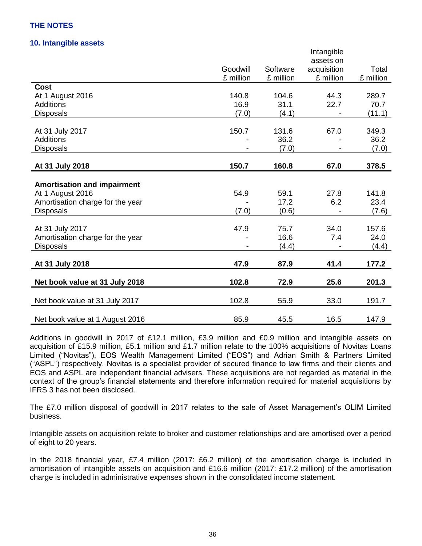#### **10. Intangible assets**

|                                    |           |           | Intangible  |           |
|------------------------------------|-----------|-----------|-------------|-----------|
|                                    |           |           | assets on   |           |
|                                    | Goodwill  | Software  | acquisition | Total     |
|                                    | £ million | £ million | £ million   | £ million |
| Cost                               |           |           |             |           |
| At 1 August 2016                   | 140.8     | 104.6     | 44.3        | 289.7     |
| <b>Additions</b>                   | 16.9      | 31.1      | 22.7        | 70.7      |
| <b>Disposals</b>                   | (7.0)     | (4.1)     |             | (11.1)    |
|                                    |           |           |             |           |
| At 31 July 2017                    | 150.7     | 131.6     | 67.0        | 349.3     |
| <b>Additions</b>                   |           | 36.2      |             | 36.2      |
| <b>Disposals</b>                   |           | (7.0)     |             | (7.0)     |
|                                    |           |           |             |           |
| At 31 July 2018                    | 150.7     | 160.8     | 67.0        | 378.5     |
|                                    |           |           |             |           |
| <b>Amortisation and impairment</b> |           |           |             |           |
| At 1 August 2016                   | 54.9      | 59.1      | 27.8        | 141.8     |
| Amortisation charge for the year   |           | 17.2      | 6.2         | 23.4      |
| <b>Disposals</b>                   | (7.0)     | (0.6)     |             | (7.6)     |
| At 31 July 2017                    | 47.9      | 75.7      | 34.0        | 157.6     |
| Amortisation charge for the year   |           | 16.6      | 7.4         | 24.0      |
| <b>Disposals</b>                   |           | (4.4)     |             | (4.4)     |
|                                    |           |           |             |           |
| At 31 July 2018                    | 47.9      | 87.9      | 41.4        | 177.2     |
|                                    |           |           |             |           |
| Net book value at 31 July 2018     | 102.8     | 72.9      | 25.6        | 201.3     |
| Net book value at 31 July 2017     | 102.8     | 55.9      | 33.0        | 191.7     |
|                                    |           |           |             |           |
| Net book value at 1 August 2016    | 85.9      | 45.5      | 16.5        | 147.9     |

Additions in goodwill in 2017 of £12.1 million, £3.9 million and £0.9 million and intangible assets on acquisition of £15.9 million, £5.1 million and £1.7 million relate to the 100% acquisitions of Novitas Loans Limited ("Novitas"), EOS Wealth Management Limited ("EOS") and Adrian Smith & Partners Limited ("ASPL") respectively. Novitas is a specialist provider of secured finance to law firms and their clients and EOS and ASPL are independent financial advisers. These acquisitions are not regarded as material in the context of the group's financial statements and therefore information required for material acquisitions by IFRS 3 has not been disclosed.

The £7.0 million disposal of goodwill in 2017 relates to the sale of Asset Management's OLIM Limited business.

Intangible assets on acquisition relate to broker and customer relationships and are amortised over a period of eight to 20 years.

In the 2018 financial year, £7.4 million (2017: £6.2 million) of the amortisation charge is included in amortisation of intangible assets on acquisition and £16.6 million (2017: £17.2 million) of the amortisation charge is included in administrative expenses shown in the consolidated income statement.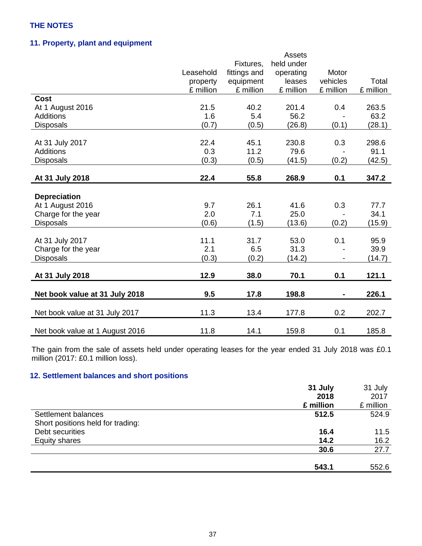## **11. Property, plant and equipment**

|           |                                                                                             | Assets                                                                                        |                                                                                                       |                                                          |
|-----------|---------------------------------------------------------------------------------------------|-----------------------------------------------------------------------------------------------|-------------------------------------------------------------------------------------------------------|----------------------------------------------------------|
|           | Fixtures,                                                                                   | held under                                                                                    |                                                                                                       |                                                          |
| Leasehold | fittings and                                                                                | operating                                                                                     | Motor                                                                                                 |                                                          |
| property  | equipment                                                                                   | leases                                                                                        | vehicles                                                                                              | Total                                                    |
| £ million | £ million                                                                                   | £ million                                                                                     | £ million                                                                                             | £ million                                                |
|           |                                                                                             |                                                                                               |                                                                                                       |                                                          |
| 21.5      | 40.2                                                                                        | 201.4                                                                                         | 0.4                                                                                                   | 263.5                                                    |
| 1.6       | 5.4                                                                                         | 56.2                                                                                          |                                                                                                       | 63.2                                                     |
| (0.7)     | (0.5)                                                                                       | (26.8)                                                                                        | (0.1)                                                                                                 | (28.1)                                                   |
|           |                                                                                             |                                                                                               |                                                                                                       |                                                          |
|           |                                                                                             |                                                                                               |                                                                                                       | 298.6                                                    |
|           |                                                                                             |                                                                                               |                                                                                                       | 91.1                                                     |
|           |                                                                                             |                                                                                               |                                                                                                       | (42.5)                                                   |
|           |                                                                                             |                                                                                               |                                                                                                       |                                                          |
|           |                                                                                             |                                                                                               |                                                                                                       | 347.2                                                    |
|           |                                                                                             |                                                                                               |                                                                                                       |                                                          |
|           |                                                                                             |                                                                                               |                                                                                                       |                                                          |
|           |                                                                                             |                                                                                               |                                                                                                       | 77.7                                                     |
|           |                                                                                             |                                                                                               |                                                                                                       | 34.1                                                     |
|           |                                                                                             |                                                                                               |                                                                                                       | (15.9)                                                   |
|           |                                                                                             |                                                                                               |                                                                                                       |                                                          |
|           |                                                                                             |                                                                                               |                                                                                                       | 95.9                                                     |
|           |                                                                                             |                                                                                               |                                                                                                       | 39.9                                                     |
|           |                                                                                             |                                                                                               |                                                                                                       | (14.7)                                                   |
|           |                                                                                             |                                                                                               |                                                                                                       |                                                          |
|           |                                                                                             |                                                                                               |                                                                                                       | 121.1                                                    |
| 9.5       | 17.8                                                                                        | 198.8                                                                                         |                                                                                                       | 226.1                                                    |
|           |                                                                                             |                                                                                               |                                                                                                       |                                                          |
| 11.3      | 13.4                                                                                        | 177.8                                                                                         | 0.2                                                                                                   | 202.7                                                    |
|           |                                                                                             |                                                                                               |                                                                                                       | 185.8                                                    |
|           | 22.4<br>0.3<br>(0.3)<br>22.4<br>9.7<br>2.0<br>(0.6)<br>11.1<br>2.1<br>(0.3)<br>12.9<br>11.8 | 45.1<br>11.2<br>(0.5)<br>55.8<br>26.1<br>7.1<br>(1.5)<br>31.7<br>6.5<br>(0.2)<br>38.0<br>14.1 | 230.8<br>79.6<br>(41.5)<br>268.9<br>41.6<br>25.0<br>(13.6)<br>53.0<br>31.3<br>(14.2)<br>70.1<br>159.8 | 0.3<br>(0.2)<br>0.1<br>0.3<br>(0.2)<br>0.1<br>0.1<br>0.1 |

The gain from the sale of assets held under operating leases for the year ended 31 July 2018 was £0.1 million (2017: £0.1 million loss).

## **12. Settlement balances and short positions**

|                                   | 31 July   | 31 July   |
|-----------------------------------|-----------|-----------|
|                                   | 2018      | 2017      |
|                                   | £ million | £ million |
| Settlement balances               | 512.5     | 524.9     |
| Short positions held for trading: |           |           |
| Debt securities                   | 16.4      | 11.5      |
| Equity shares                     | 14.2      | 16.2      |
|                                   | 30.6      | 27.7      |
|                                   | 543.1     | 552.6     |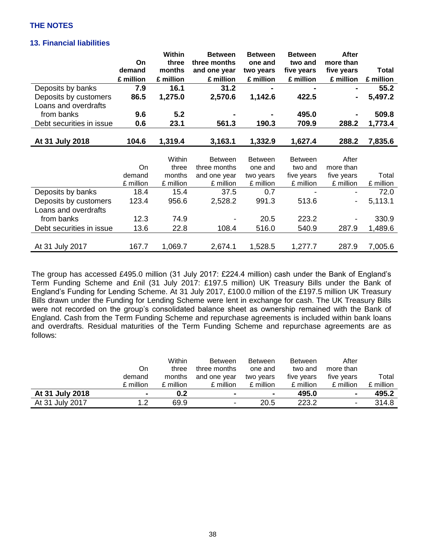## **13. Financial liabilities**

|                          |           | <b>Within</b> | <b>Between</b> | <b>Between</b> | <b>Between</b> | After      |              |
|--------------------------|-----------|---------------|----------------|----------------|----------------|------------|--------------|
|                          | On        | three         | three months   | one and        | two and        | more than  |              |
|                          | demand    | months        | and one year   | two years      | five years     | five years | <b>Total</b> |
|                          | £ million | £ million     | £ million      | £ million      | £ million      | £ million  | £ million    |
| Deposits by banks        | 7.9       | 16.1          | 31.2           |                |                |            | 55.2         |
| Deposits by customers    | 86.5      | 1,275.0       | 2,570.6        | 1,142.6        | 422.5          |            | 5,497.2      |
| Loans and overdrafts     |           |               |                |                |                |            |              |
| from banks               | 9.6       | 5.2           |                |                | 495.0          |            | 509.8        |
| Debt securities in issue | 0.6       | 23.1          | 561.3          | 190.3          | 709.9          | 288.2      | 1,773.4      |
|                          |           |               |                |                |                |            |              |
| At 31 July 2018          | 104.6     | 1,319.4       | 3,163.1        | 1,332.9        | 1,627.4        | 288.2      | 7,835.6      |
|                          |           |               |                |                |                |            |              |
|                          |           | Within        | <b>Between</b> | <b>Between</b> | <b>Between</b> | After      |              |
|                          | On        | three         | three months   | one and        | two and        | more than  |              |
|                          | demand    | months        | and one year   | two years      | five years     | five years | Total        |
|                          | £ million | £ million     | £ million      | £ million      | £ million      | £ million  | £ million    |
| Deposits by banks        | 18.4      | 15.4          | 37.5           | 0.7            |                |            | 72.0         |
| Deposits by customers    | 123.4     | 956.6         | 2,528.2        | 991.3          | 513.6          | -          | 5,113.1      |
| Loans and overdrafts     |           |               |                |                |                |            |              |
| from banks               | 12.3      | 74.9          |                | 20.5           | 223.2          |            | 330.9        |
| Debt securities in issue | 13.6      | 22.8          | 108.4          | 516.0          | 540.9          | 287.9      | 1,489.6      |
|                          |           |               |                |                |                |            |              |
| At 31 July 2017          | 167.7     | 1,069.7       | 2,674.1        | 1,528.5        | 1,277.7        | 287.9      | 7,005.6      |

The group has accessed £495.0 million (31 July 2017: £224.4 million) cash under the Bank of England's Term Funding Scheme and £nil (31 July 2017: £197.5 million) UK Treasury Bills under the Bank of England's Funding for Lending Scheme. At 31 July 2017, £100.0 million of the £197.5 million UK Treasury Bills drawn under the Funding for Lending Scheme were lent in exchange for cash. The UK Treasury Bills were not recorded on the group's consolidated balance sheet as ownership remained with the Bank of England. Cash from the Term Funding Scheme and repurchase agreements is included within bank loans and overdrafts. Residual maturities of the Term Funding Scheme and repurchase agreements are as follows:

|                 |                | Within    | <b>Between</b> | <b>Between</b> | <b>Between</b> | After                    |           |
|-----------------|----------------|-----------|----------------|----------------|----------------|--------------------------|-----------|
|                 | On             | three     | three months   | one and        | two and        | more than                |           |
|                 | demand         | months    | and one year   | two years      | five years     | five years               | Total     |
|                 | £ million      | £ million | £ million      | £ million      | £ million      | £ million                | £ million |
| At 31 July 2018 | $\blacksquare$ | 0.2       | $\blacksquare$ | $\blacksquare$ | 495.0          | $\blacksquare$           | 495.2     |
| At 31 July 2017 | 1.2            | 69.9      | -              | 20.5           | 223.2          | $\overline{\phantom{0}}$ | 314.8     |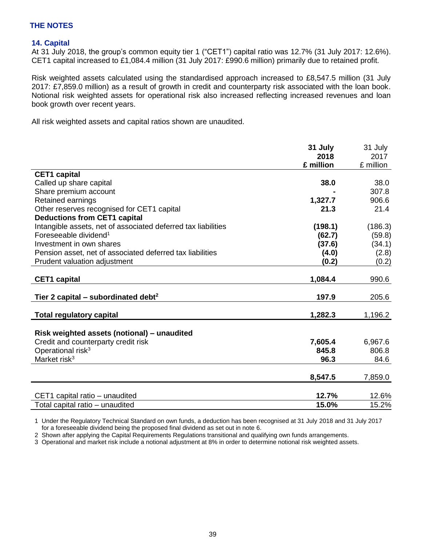### **14. Capital**

At 31 July 2018, the group's common equity tier 1 ("CET1") capital ratio was 12.7% (31 July 2017: 12.6%). CET1 capital increased to £1,084.4 million (31 July 2017: £990.6 million) primarily due to retained profit.

Risk weighted assets calculated using the standardised approach increased to £8,547.5 million (31 July 2017: £7,859.0 million) as a result of growth in credit and counterparty risk associated with the loan book. Notional risk weighted assets for operational risk also increased reflecting increased revenues and loan book growth over recent years.

All risk weighted assets and capital ratios shown are unaudited.

|                                                               | 31 July   | 31 July   |
|---------------------------------------------------------------|-----------|-----------|
|                                                               | 2018      | 2017      |
|                                                               | £ million | £ million |
| <b>CET1</b> capital                                           |           |           |
| Called up share capital                                       | 38.0      | 38.0      |
| Share premium account                                         |           | 307.8     |
| Retained earnings                                             | 1,327.7   | 906.6     |
| Other reserves recognised for CET1 capital                    | 21.3      | 21.4      |
| <b>Deductions from CET1 capital</b>                           |           |           |
| Intangible assets, net of associated deferred tax liabilities | (198.1)   | (186.3)   |
| Foreseeable dividend <sup>1</sup>                             | (62.7)    | (59.8)    |
| Investment in own shares                                      | (37.6)    | (34.1)    |
| Pension asset, net of associated deferred tax liabilities     | (4.0)     | (2.8)     |
| Prudent valuation adjustment                                  | (0.2)     | (0.2)     |
|                                                               |           |           |
| <b>CET1 capital</b>                                           | 1,084.4   | 990.6     |
| Tier 2 capital – subordinated debt <sup>2</sup>               | 197.9     | 205.6     |
| <b>Total regulatory capital</b>                               | 1,282.3   | 1,196.2   |
| Risk weighted assets (notional) - unaudited                   |           |           |
| Credit and counterparty credit risk                           | 7,605.4   | 6,967.6   |
| Operational risk <sup>3</sup>                                 | 845.8     | 806.8     |
| Market risk $3$                                               | 96.3      | 84.6      |
|                                                               |           |           |
|                                                               | 8,547.5   | 7,859.0   |
| CET1 capital ratio - unaudited                                | 12.7%     | 12.6%     |
| Total capital ratio - unaudited                               | 15.0%     | 15.2%     |

1 Under the Regulatory Technical Standard on own funds, a deduction has been recognised at 31 July 2018 and 31 July 2017 for a foreseeable dividend being the proposed final dividend as set out in note 6.

2 Shown after applying the Capital Requirements Regulations transitional and qualifying own funds arrangements.

3 Operational and market risk include a notional adjustment at 8% in order to determine notional risk weighted assets.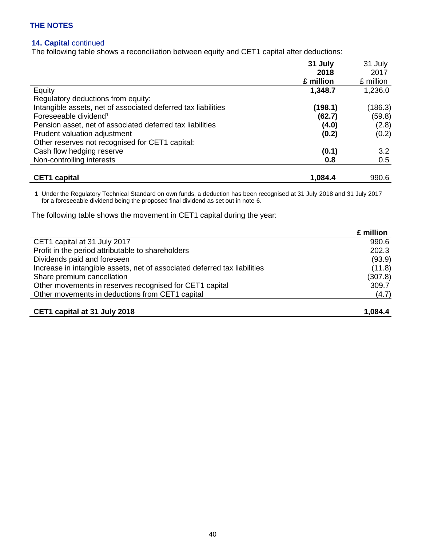## **14. Capital** continued

The following table shows a reconciliation between equity and CET1 capital after deductions:

|                                                               | 31 July   | 31 July<br>2017<br>£ million |
|---------------------------------------------------------------|-----------|------------------------------|
|                                                               | 2018      |                              |
|                                                               | £ million |                              |
| Equity                                                        | 1,348.7   | 1,236.0                      |
| Regulatory deductions from equity:                            |           |                              |
| Intangible assets, net of associated deferred tax liabilities | (198.1)   | (186.3)                      |
| Foreseeable dividend <sup>1</sup>                             | (62.7)    | (59.8)                       |
| Pension asset, net of associated deferred tax liabilities     | (4.0)     | (2.8)                        |
| Prudent valuation adjustment                                  | (0.2)     | (0.2)                        |
| Other reserves not recognised for CET1 capital:               |           |                              |
| Cash flow hedging reserve                                     | (0.1)     | 3.2                          |
| Non-controlling interests                                     | 0.8       | 0.5                          |
| <b>CET1</b> capital                                           | 1,084.4   | 990.6                        |

1 Under the Regulatory Technical Standard on own funds, a deduction has been recognised at 31 July 2018 and 31 July 2017 for a foreseeable dividend being the proposed final dividend as set out in note 6.

The following table shows the movement in CET1 capital during the year:

|                                                                           | £ million |
|---------------------------------------------------------------------------|-----------|
| CET1 capital at 31 July 2017                                              | 990.6     |
| Profit in the period attributable to shareholders                         | 202.3     |
| Dividends paid and foreseen                                               | (93.9)    |
| Increase in intangible assets, net of associated deferred tax liabilities | (11.8)    |
| Share premium cancellation                                                | (307.8)   |
| Other movements in reserves recognised for CET1 capital                   | 309.7     |
| Other movements in deductions from CET1 capital                           | (4.7)     |
|                                                                           |           |
| CET1 capital at 31 July 2018                                              | 1,084.4   |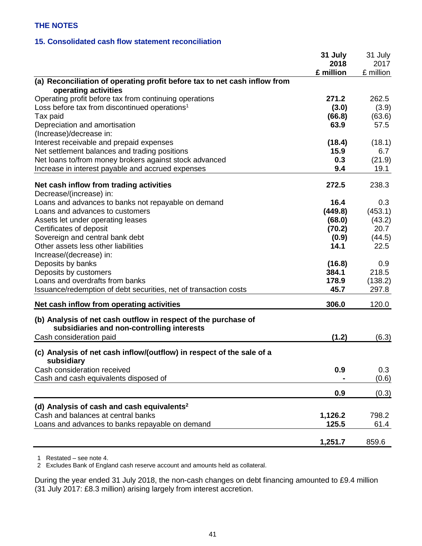## **15. Consolidated cash flow statement reconciliation**

|                                                                                     | 31 July<br>2018<br>£ million | 31 July<br>2017<br>£ million |
|-------------------------------------------------------------------------------------|------------------------------|------------------------------|
| (a) Reconciliation of operating profit before tax to net cash inflow from           |                              |                              |
| operating activities                                                                |                              |                              |
| Operating profit before tax from continuing operations                              | 271.2                        | 262.5                        |
| Loss before tax from discontinued operations <sup>1</sup>                           | (3.0)                        | (3.9)                        |
| Tax paid                                                                            | (66.8)                       | (63.6)                       |
| Depreciation and amortisation                                                       | 63.9                         | 57.5                         |
| (Increase)/decrease in:<br>Interest receivable and prepaid expenses                 | (18.4)                       | (18.1)                       |
| Net settlement balances and trading positions                                       | 15.9                         | 6.7                          |
| Net loans to/from money brokers against stock advanced                              | 0.3                          | (21.9)                       |
| Increase in interest payable and accrued expenses                                   | 9.4                          | 19.1                         |
|                                                                                     |                              |                              |
| Net cash inflow from trading activities                                             | 272.5                        | 238.3                        |
| Decrease/(increase) in:<br>Loans and advances to banks not repayable on demand      | 16.4                         | 0.3                          |
| Loans and advances to customers                                                     | (449.8)                      | (453.1)                      |
| Assets let under operating leases                                                   | (68.0)                       | (43.2)                       |
| Certificates of deposit                                                             | (70.2)                       | 20.7                         |
| Sovereign and central bank debt                                                     | (0.9)                        | (44.5)                       |
| Other assets less other liabilities                                                 | 14.1                         | 22.5                         |
| Increase/(decrease) in:                                                             |                              |                              |
| Deposits by banks                                                                   | (16.8)                       | 0.9                          |
| Deposits by customers                                                               | 384.1                        | 218.5                        |
| Loans and overdrafts from banks                                                     | 178.9                        | (138.2)                      |
| Issuance/redemption of debt securities, net of transaction costs                    | 45.7                         | 297.8                        |
| Net cash inflow from operating activities                                           | 306.0                        | 120.0                        |
| (b) Analysis of net cash outflow in respect of the purchase of                      |                              |                              |
| subsidiaries and non-controlling interests                                          |                              |                              |
| Cash consideration paid                                                             | (1.2)                        | (6.3)                        |
| (c) Analysis of net cash inflow/(outflow) in respect of the sale of a<br>subsidiary |                              |                              |
| Cash consideration received                                                         | 0.9                          | 0.3                          |
| Cash and cash equivalents disposed of                                               |                              | (0.6)                        |
|                                                                                     | 0.9                          | (0.3)                        |
| (d) Analysis of cash and cash equivalents <sup>2</sup>                              |                              |                              |
| Cash and balances at central banks                                                  | 1,126.2                      | 798.2                        |
| Loans and advances to banks repayable on demand                                     | 125.5                        | 61.4                         |
|                                                                                     | 1,251.7                      | 859.6                        |
|                                                                                     |                              |                              |

1 Restated – see note 4.

2 Excludes Bank of England cash reserve account and amounts held as collateral.

During the year ended 31 July 2018, the non-cash changes on debt financing amounted to £9.4 million (31 July 2017: £8.3 million) arising largely from interest accretion.